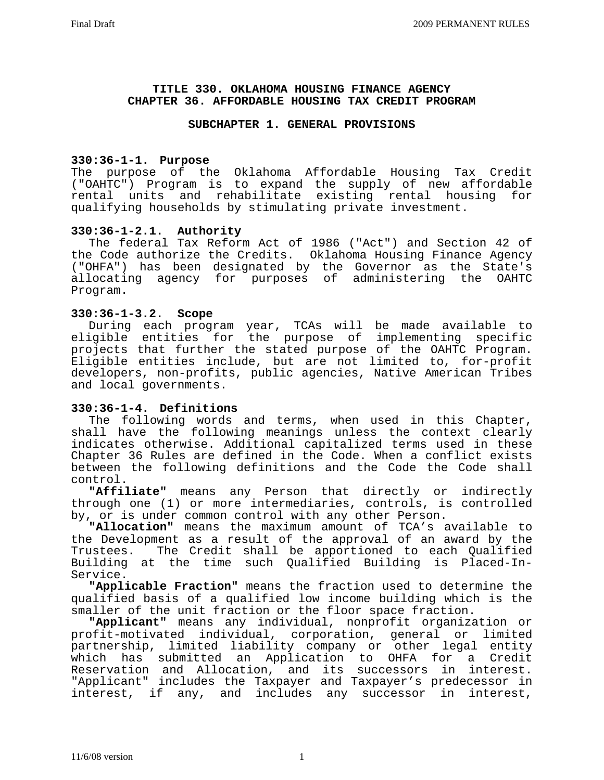## **TITLE 330. OKLAHOMA HOUSING FINANCE AGENCY CHAPTER 36. AFFORDABLE HOUSING TAX CREDIT PROGRAM**

#### **SUBCHAPTER 1. GENERAL PROVISIONS**

# **330:36-1-1. Purpose**

The purpose of the Oklahoma Affordable Housing Tax Credit ("OAHTC") Program is to expand the supply of new affordable rental units and rehabilitate existing rental housing for qualifying households by stimulating private investment.

## **330:36-1-2.1. Authority**

The federal Tax Reform Act of 1986 ("Act") and Section 42 of the Code authorize the Credits. Oklahoma Housing Finance Agency ("OHFA") has been designated by the Governor as the State's<br>allocating agency for purposes of administering the OAHTC allocating agency for purposes of Program.

## **330:36-1-3.2. Scope**

During each program year, TCAs will be made available to eligible entities for the purpose of implementing specific projects that further the stated purpose of the OAHTC Program. Eligible entities include, but are not limited to, for-profit developers, non-profits, public agencies, Native American Tribes and local governments.

## **330:36-1-4. Definitions**

The following words and terms, when used in this Chapter, shall have the following meanings unless the context clearly indicates otherwise. Additional capitalized terms used in these Chapter 36 Rules are defined in the Code. When a conflict exists between the following definitions and the Code the Code shall control.

 **"Affiliate"** means any Person that directly or indirectly through one (1) or more intermediaries, controls, is controlled by, or is under common control with any other Person.

 **"Allocation"** means the maximum amount of TCA's available to the Development as a result of the approval of an award by the Trustees. The Credit shall be apportioned to each Qualified Building at the time such Qualified Building is Placed-In-Service.

 **"Applicable Fraction"** means the fraction used to determine the qualified basis of a qualified low income building which is the smaller of the unit fraction or the floor space fraction.

 **"Applicant"** means any individual, nonprofit organization or profit-motivated individual, corporation, general or limited partnership, limited liability company or other legal entity which has submitted an Application to OHFA for a Credit Reservation and Allocation, and its successors in interest. "Applicant" includes the Taxpayer and Taxpayer's predecessor in interest, if any, and includes any successor in interest,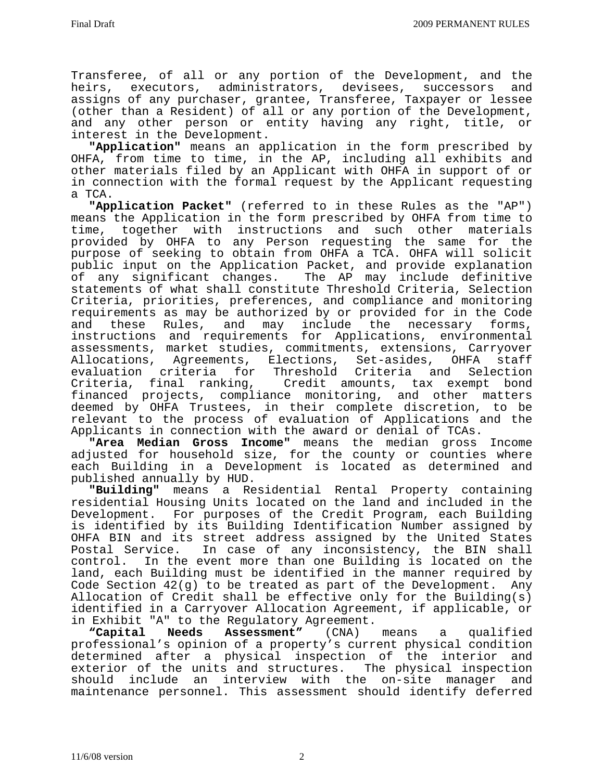Transferee, of all or any portion of the Development, and the heirs, executors, administrators, devisees, successors and assigns of any purchaser, grantee, Transferee, Taxpayer or lessee (other than a Resident) of all or any portion of the Development, and any other person or entity having any right, title, or interest in the Development. **"Application"** means an application in the form prescribed by

OHFA, from time to time, in the AP, including all exhibits and other materials filed by an Applicant with OHFA in support of or in connection with the formal request by the Applicant requesting a TCA.

 **"Application Packet"** (referred to in these Rules as the "AP") means the Application in the form prescribed by OHFA from time to time, together with instructions and such other materials provided by OHFA to any Person requesting the same for the purpose of seeking to obtain from OHFA a TCA. OHFA will solicit public input on the Application Packet, and provide explanation of any significant changes. The AP may include definitive statements of what shall constitute Threshold Criteria, Selection Criteria, priorities, preferences, and compliance and monitoring requirements as may be authorized by or provided for in the Code and these Rules, and may include the necessary forms, instructions and requirements for Applications, environmental assessments, market studies, commitments, extensions, Carryover Allocations, Agreements, Elections, Set-asides, OHFA staff evaluation criteria for Threshold Criteria and Selection Credit amounts, tax exempt bond financed projects, compliance monitoring, and other matters deemed by OHFA Trustees, in their complete discretion, to be relevant to the process of evaluation of Applications and the<br>Applicants in connection with the award or denial of TCAs.

"Area Median Gross Income" means the median gross Income adjusted for household size, for the county or counties where each Building in a Development is located as determined and published annually by HUD.

 **"Building"** means a Residential Rental Property containing residential Housing Units located on the land and included in the Development. For purposes of the Credit Program, each Building is identified by its Building Identification Number assigned by OHFA BIN and its street address assigned by the United States Postal Service. In case of any inconsistency, the BIN shall control. In the event more than one Building is located on the land, each Building must be identified in the manner required by Code Section 42(g) to be treated as part of the Development. Any Allocation of Credit shall be effective only for the Building(s) identified in a Carryover Allocation Agreement, if applicable, or in Exhibit "A" to the Regulatory Agreement. **"Capital Needs Assessment"** (CNA) means a qualified

professional's opinion of a property's current physical condition determined after a physical inspection of the interior and exterior of the units and structures. The physical inspection should include an interview with the on-site manager and maintenance personnel. This assessment should identify deferred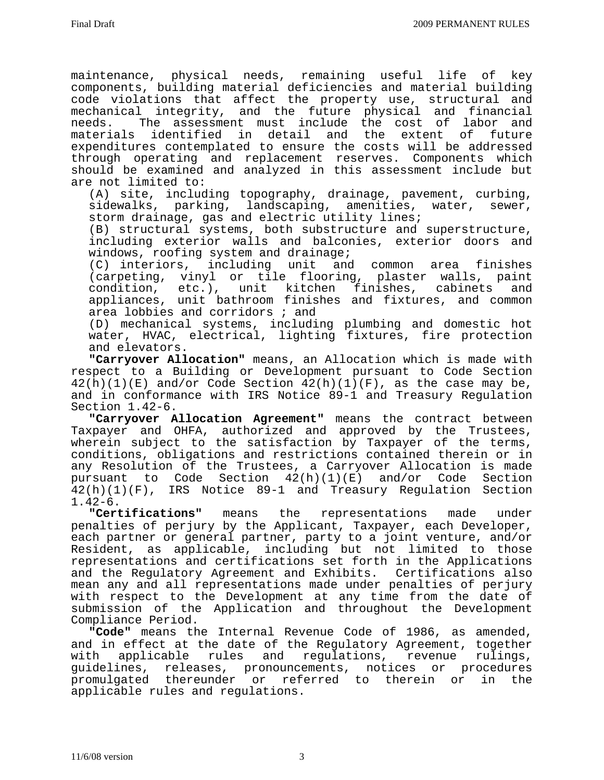maintenance, physical needs, remaining useful life of key components, building material deficiencies and material building code violations that affect the property use, structural and mechanical integrity, and the future physical and financial needs. The assessment must include the cost of labor and materials identified in detail and the extent of future expenditures contemplated to ensure the costs will be addressed through operating and replacement reserves. Components which should be examined and analyzed in this assessment include but are not limited to:

(A) site, including topography, drainage, pavement, curbing, sidewalks, parking, landscaping, amenities, water, sewer, storm drainage, gas and electric utility lines;

(B) structural systems, both substructure and superstructure, including exterior walls and balconies, exterior doors and windows, roofing system and drainage;

(C) interiors, including unit and common area finishes (carpeting, vinyl or tile flooring, plaster walls, paint condition, etc.), unit kitchen finishes, cabinets and appliances, unit bathroom finishes and fixtures, and common area lobbies and corridors ; and

(D) mechanical systems, including plumbing and domestic hot water, HVAC, electrical, lighting fixtures, fire protection and elevators.

 **"Carryover Allocation"** means, an Allocation which is made with respect to a Building or Development pursuant to Code Section  $42(h)(1)(E)$  and/or Code Section  $42(h)(1)(F)$ , as the case may be, and in conformance with IRS Notice 89-1 and Treasury Regulation Section 1.42-6.

**"Carryover Allocation Agreement"** means the contract between Taxpayer and OHFA, authorized and approved by the Trustees, wherein subject to the satisfaction by Taxpayer of the terms, conditions, obligations and restrictions contained therein or in any Resolution of the Trustees, a Carryover Allocation is made pursuant to Code Section 42(h)(1)(E) and/or Code Section 42(h)(1)(F), IRS Notice 89-1 and Treasury Regulation Section

1.42-6.<br>"Certifications" means the representations made under penalties of perjury by the Applicant, Taxpayer, each Developer, each partner or general partner, party to a joint venture, and/or Resident, as applicable, including but not limited to those representations and certifications set forth in the Applications and the Regulatory Agreement and Exhibits. Certifications also mean any and all representations made under penalties of perjury with respect to the Development at any time from the date of submission of the Application and throughout the Development

Compliance Period. **"Code"** means the Internal Revenue Code of 1986, as amended, and in effect at the date of the Regulatory Agreement, together with applicable rules and regulations, revenue rulings, guidelines, releases, pronouncements, notices or procedures promulgated thereunder or referred to therein or in the applicable rules and regulations.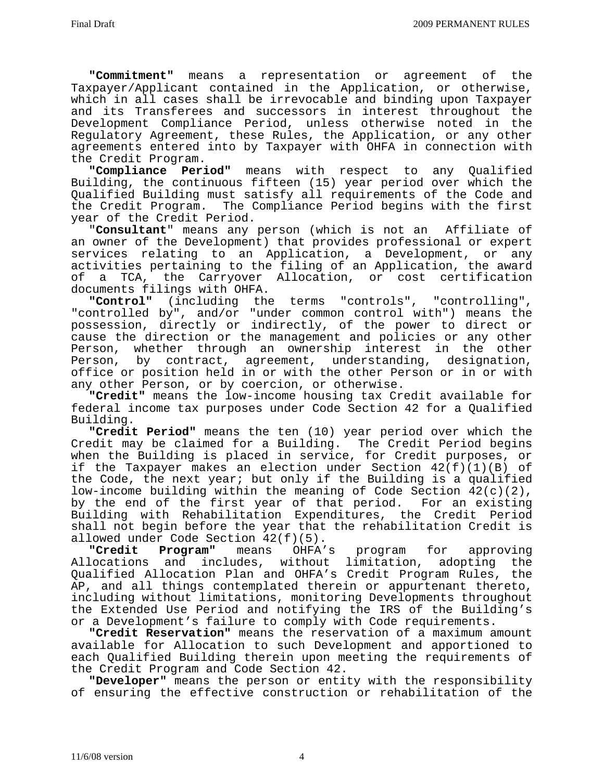**"Commitment"** means a representation or agreement of the Taxpayer/Applicant contained in the Application, or otherwise, which in all cases shall be irrevocable and binding upon Taxpayer and its Transferees and successors in interest throughout the Development Compliance Period, unless otherwise noted in the Regulatory Agreement, these Rules, the Application, or any other agreements entered into by Taxpayer with OHFA in connection with the Credit Program.

 **"Compliance Period"** means with respect to any Qualified Building, the continuous fifteen (15) year period over which the Qualified Building must satisfy all requirements of the Code and the Credit Program. The Compliance Period begins with the first year of the Credit Period.

 "**Consultant**" means any person (which is not an Affiliate of an owner of the Development) that provides professional or expert services relating to an Application, a Development, or any activities pertaining to the filing of an Application, the award of a TCA, the Carryover Allocation, or cost certification documents filings with OHFA.

 **"Control"** (including the terms "controls", "controlling", "controlled by", and/or "under common control with") means the possession, directly or indirectly, of the power to direct or cause the direction or the management and policies or any other Person, whether through an ownership interest in the other Person, by contract, agreement, understanding, designation, office or position held in or with the other Person or in or with any other Person, or by coercion, or otherwise.

 **"Credit"** means the low-income housing tax Credit available for federal income tax purposes under Code Section 42 for a Qualified Building.

 **"Credit Period"** means the ten (10) year period over which the Credit may be claimed for a Building. The Credit Period begins when the Building is placed in service, for Credit purposes, or if the Taxpayer makes an election under Section 42(f)(1)(B) of the Code, the next year; but only if the Building is a qualified low-income building within the meaning of Code Section  $42(c)(2)$ , by the end of the first year of that period. For an existing Building with Rehabilitation Expenditures, the Credit Period shall not begin before the year that the rehabilitation Credit is allowed under Code Section 42(f)(5).

 **"Credit Program"** means OHFA's program for approving Allocations and includes, without limitation, adopting the Qualified Allocation Plan and OHFA's Credit Program Rules, the AP, and all things contemplated therein or appurtenant thereto, including without limitations, monitoring Developments throughout the Extended Use Period and notifying the IRS of the Building's

or <sup>a</sup> Development's failure to comply with Code requirements. **"Credit Reservation"** means the reservation of a maximum amount available for Allocation to such Development and apportioned to each Qualified Building therein upon meeting the requirements of<br>the Credit Program and Code Section 42.

"Developer" means the person or entity with the responsibility of ensuring the effective construction or rehabilitation of the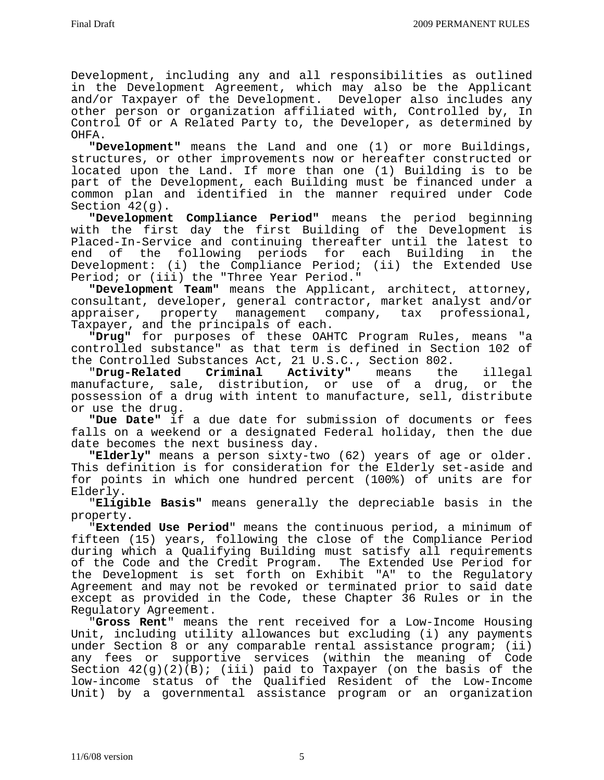Development, including any and all responsibilities as outlined in the Development Agreement, which may also be the Applicant and/or Taxpayer of the Development. Developer also includes any other person or organization affiliated with, Controlled by, In Control Of or A Related Party to, the Developer, as determined by OHFA.

 **"Development"** means the Land and one (1) or more Buildings, structures, or other improvements now or hereafter constructed or located upon the Land. If more than one (1) Building is to be part of the Development, each Building must be financed under a common plan and identified in the manner required under Code Section 42(g).

**"Development Compliance Period"** means the period beginning with the first day the first Building of the Development is Placed-In-Service and continuing thereafter until the latest to end of the following periods for each Building in the Development: (i) the Compliance Period; (ii) the Extended Use<br>Period; or (iii) the "Three Year Period."

"Development Team" means the Applicant, architect, attorney, consultant, developer, general contractor, market analyst and/or appraiser, property management company, tax professional, Taxpayer, and the principals of each.

 **"Drug"** for purposes of these OAHTC Program Rules, means "a controlled substance" as that term is defined in Section 102 of

the Controlled Substances Act, 21 U.S.C., Section 802.<br>"Drug-Related Criminal Activity" means the "**Drug-Related Criminal Activity"** means the illegal manufacture, sale, distribution, or use of a drug, or the possession of a drug with intent to manufacture, sell, distribute or use the drug.

 **"Due Date"** if a due date for submission of documents or fees falls on a weekend or a designated Federal holiday, then the due date becomes the next business day.

 **"Elderly"** means a person sixty-two (62) years of age or older. This definition is for consideration for the Elderly set-aside and for points in which one hundred percent (100%) of units are for Elderly.

"**Eligible Basis"** means generally the depreciable basis in the

property. "**Extended Use Period**" means the continuous period, a minimum of fifteen (15) years, following the close of the Compliance Period during which a Qualifying Building must satisfy all requirements<br>of the Code and the Credit Program. The Extended Use Period for of the Code and the Credit Program. the Development is set forth on Exhibit "A" to the Regulatory Agreement and may not be revoked or terminated prior to said date except as provided in the Code, these Chapter 36 Rules or in the Regulatory Agreement.

 "**Gross Rent**" means the rent received for a Low-Income Housing Unit, including utility allowances but excluding (i) any payments under Section 8 or any comparable rental assistance program; (ii) any fees or supportive services (within the meaning of Code Section 42(g)(2)(B); (iii) paid to Taxpayer (on the basis of the low-income status of the Qualified Resident of the Low-Income Unit) by a governmental assistance program or an organization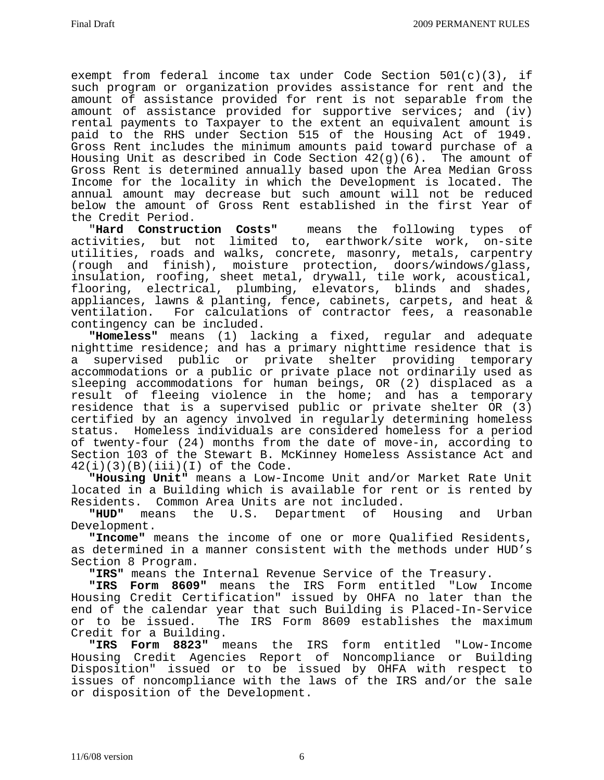exempt from federal income tax under Code Section 501(c)(3), if such program or organization provides assistance for rent and the amount of assistance provided for rent is not separable from the amount of assistance provided for supportive services; and (iv) rental payments to Taxpayer to the extent an equivalent amount is paid to the RHS under Section 515 of the Housing Act of 1949. Gross Rent includes the minimum amounts paid toward purchase of a Housing Unit as described in Code Section  $42(g)(6)$ . The amount of Gross Rent is determined annually based upon the Area Median Gross Income for the locality in which the Development is located. The annual amount may decrease but such amount will not be reduced below the amount of Gross Rent established in the first Year of the Credit Period. "**Hard Construction Costs"** means the following types of

activities, but not limited to, earthwork/site work, on-site utilities, roads and walks, concrete, masonry, metals, carpentry (rough and finish), moisture protection, doors/windows/glass, insulation, roofing, sheet metal, drywall, tile work, acoustical, flooring, electrical, plumbing, elevators, blinds and shades, appliances, lawns & planting, fence, cabinets, carpets, and heat & ventilation. For calculations of contractor fees, a reasonable contingency can be included.

 **"Homeless"** means (1) lacking a fixed, regular and adequate nighttime residence; and has a primary nighttime residence that is a supervised public or private shelter providing temporary accommodations or a public or private place not ordinarily used as sleeping accommodations for human beings, OR (2) displaced as a result of fleeing violence in the home; and has a temporary residence that is a supervised public or private shelter OR (3) certified by an agency involved in regularly determining homeless status. Homeless individuals are considered homeless for a period of twenty-four (24) months from the date of move-in, according to Section 103 of the Stewart B. McKinney Homeless Assistance Act and  $42(i)(3)(B)(iii)(I)$  of the Code.

 **"Housing Unit"** means a Low-Income Unit and/or Market Rate Unit located in a Building which is available for rent or is rented by Residents. Common Area Units are not included.

 **"HUD"** means the U.S. Department of Housing and Urban Development.

 **"Income"** means the income of one or more Qualified Residents, as determined in a manner consistent with the methods under HUD's Section 8 Program.

 **"IRS"** means the Internal Revenue Service of the Treasury.

**"IRS Form 8609"** means the IRS Form entitled "Low Income Housing Credit Certification" issued by OHFA no later than the end of the calendar year that such Building is Placed-In-Service or to be issued. The IRS Form 8609 establishes the maximum<br>Credit for a Building.

"IRS Form 8823" means the IRS form entitled "Low-Income Housing Credit Agencies Report of Noncompliance or Building Disposition" issued or to be issued by OHFA with respect to issues of noncompliance with the laws of the IRS and/or the sale or disposition of the Development.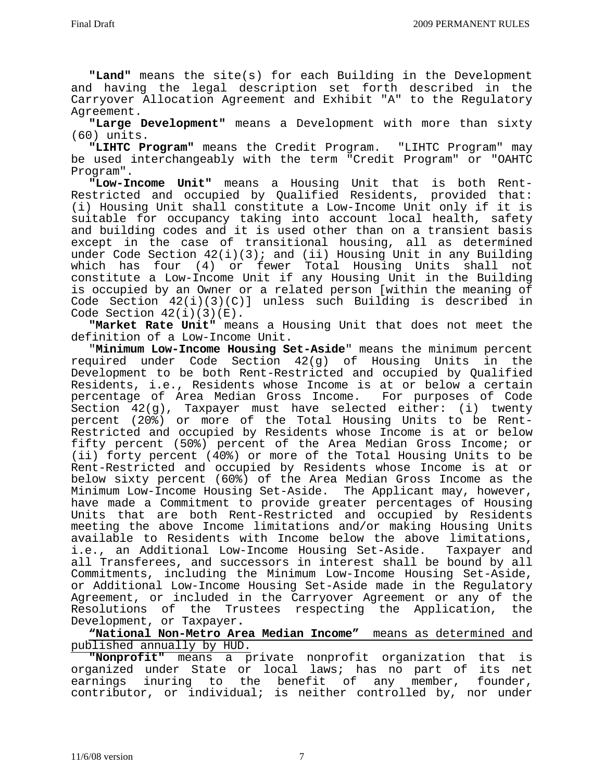**"Land"** means the site(s) for each Building in the Development and having the legal description set forth described in the Carryover Allocation Agreement and Exhibit "A" to the Regulatory Agreement.

 **"Large Development"** means a Development with more than sixty (60) units.

 **"LIHTC Program"** means the Credit Program. "LIHTC Program" may be used interchangeably with the term "Credit Program" or "OAHTC Program".

 **"Low-Income Unit"** means a Housing Unit that is both Rent-Restricted and occupied by Qualified Residents, provided that: (i) Housing Unit shall constitute a Low-Income Unit only if it is suitable for occupancy taking into account local health, safety and building codes and it is used other than on a transient basis except in the case of transitional housing, all as determined under Code Section 42(i)(3); and (ii) Housing Unit in any Building which has four (4) or fewer Total Housing Units shall not constitute a Low-Income Unit if any Housing Unit in the Building is occupied by an Owner or a related person [within the meaning of Code Section 42(i)(3)(C)] unless such Building is described in Code Section  $42(i)(3)(E)$ .

**"Market Rate Unit"** means a Housing Unit that does not meet the definition of a Low-Income Unit.

 "**Minimum Low-Income Housing Set-Aside**" means the minimum percent required under Code Section 42(g) of Housing Units in the Development to be both Rent-Restricted and occupied by Qualified Residents, i.e., Residents whose Income is at or below a certain percentage of Area Median Gross Income. For purposes of Code Section 42(g), Taxpayer must have selected either: (i) twenty percent (20%) or more of the Total Housing Units to be Rent-Restricted and occupied by Residents whose Income is at or below fifty percent (50%) percent of the Area Median Gross Income; or (ii) forty percent (40%) or more of the Total Housing Units to be Rent-Restricted and occupied by Residents whose Income is at or below sixty percent (60%) of the Area Median Gross Income as the Minimum Low-Income Housing Set-Aside. The Applicant may, however, have made a Commitment to provide greater percentages of Housing Units that are both Rent-Restricted and occupied by Residents meeting the above Income limitations and/or making Housing Units available to Residents with Income below the above limitations, i.e., an Additional Low-Income Housing Set-Aside. Taxpayer and all Transferees, and successors in interest shall be bound by all Commitments, including the Minimum Low-Income Housing Set-Aside, or Additional Low-Income Housing Set-Aside made in the Regulatory Agreement, or included in the Carryover Agreement or any of the Resolutions of the Trustees respecting the Application, the Development, or Taxpayer**.** 

**"National Non-Metro Area Median Income"** means as determined and published annually by HUD.

 **"Nonprofit"** means a private nonprofit organization that is organized under State or local laws; has no part of its net earnings inuring to the benefit of any member, founder, contributor, or individual; is neither controlled by, nor under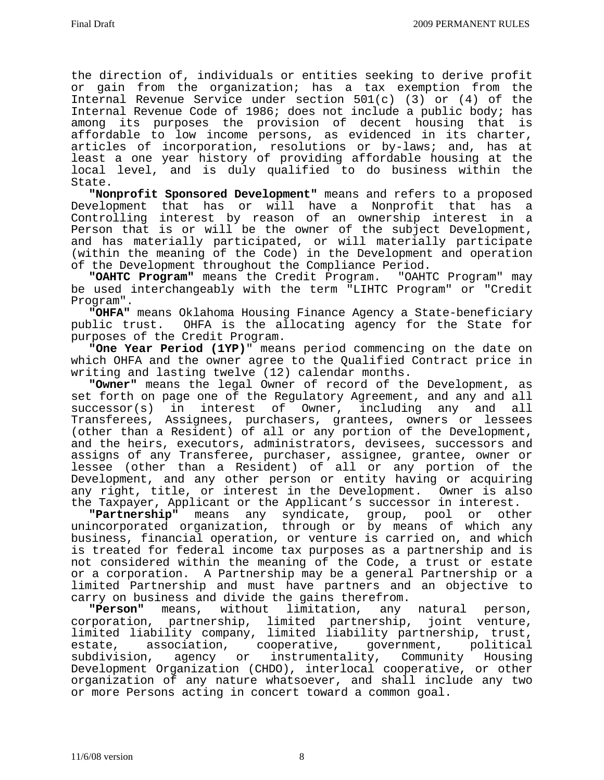the direction of, individuals or entities seeking to derive profit or gain from the organization; has a tax exemption from the Internal Revenue Service under section 501(c) (3) or (4) of the Internal Revenue Code of 1986; does not include a public body; has among its purposes the provision of decent housing that is affordable to low income persons, as evidenced in its charter, articles of incorporation, resolutions or by-laws; and, has at least a one year history of providing affordable housing at the local level, and is duly qualified to do business within the State.

**"Nonprofit Sponsored Development"** means and refers to a proposed Development that has or will have a Nonprofit that has a Controlling interest by reason of an ownership interest in a Person that is or will be the owner of the subject Development, and has materially participated, or will materially participate (within the meaning of the Code) in the Development and operation of the Development throughout the Compliance Period.

 **"OAHTC Program"** means the Credit Program. "OAHTC Program" may be used interchangeably with the term "LIHTC Program" or "Credit

Program". **"OHFA"** means Oklahoma Housing Finance Agency a State-beneficiary public trust. OHFA is the allocating agency for the State for purposes of the Credit Program.

**"One Year Period (1YP)**" means period commencing on the date on which OHFA and the owner agree to the Qualified Contract price in writing and lasting twelve (12) calendar months.

 **"Owner"** means the legal Owner of record of the Development, as set forth on page one of the Regulatory Agreement, and any and all successor(s) in interest of Owner, including any and all Transferees, Assignees, purchasers, grantees, owners or lessees (other than a Resident) of all or any portion of the Development, and the heirs, executors, administrators, devisees, successors and assigns of any Transferee, purchaser, assignee, grantee, owner or lessee (other than a Resident) of all or any portion of the Development, and any other person or entity having or acquiring any right, title, or interest in the Development. Owner is also the Taxpayer, Applicant or the Applicant's successor in interest.

 **"Partnership"** means any syndicate, group, pool or other unincorporated organization, through or by means of which any business, financial operation, or venture is carried on, and which is treated for federal income tax purposes as a partnership and is not considered within the meaning of the Code, a trust or estate or a corporation. A Partnership may be a general Partnership or a limited Partnership and must have partners and an objective to

"Person" means, without limitation, any natural person, corporation, partnership, limited partnership, joint venture, limited liability company, limited liability partnership, trust, estate, association, cooperative, government, political subdivision, agency or instrumentality, Community Housing Development Organization (CHDO), interlocal cooperative, or other organization of any nature whatsoever, and shall include any two or more Persons acting in concert toward a common goal.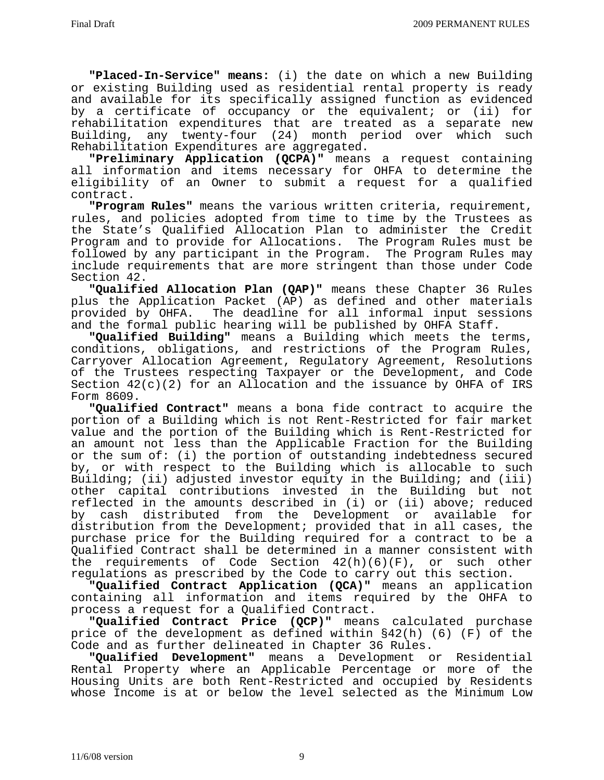**"Placed-In-Service" means:** (i) the date on which a new Building or existing Building used as residential rental property is ready and available for its specifically assigned function as evidenced by a certificate of occupancy or the equivalent; or (ii) for rehabilitation expenditures that are treated as a separate new Building, any twenty-four (24) month period over which such Rehabilitation Expenditures are aggregated.

**"Preliminary Application (QCPA)"** means a request containing all information and items necessary for OHFA to determine the eligibility of an Owner to submit a request for a qualified contract.

 **"Program Rules"** means the various written criteria, requirement, rules, and policies adopted from time to time by the Trustees as the State's Qualified Allocation Plan to administer the Credit Program and to provide for Allocations. The Program Rules must be followed by any participant in the Program. The Program Rules may include requirements that are more stringent than those under Code Section 42.

**"Qualified Allocation Plan (QAP)"** means these Chapter 36 Rules plus the Application Packet (AP) as defined and other materials provided by OHFA. The deadline for all informal input sessions and the formal public hearing will be published by OHFA Staff.

 **"Qualified Building"** means a Building which meets the terms, conditions, obligations, and restrictions of the Program Rules, Carryover Allocation Agreement, Regulatory Agreement, Resolutions of the Trustees respecting Taxpayer or the Development, and Code Section  $42(c)(2)$  for an Allocation and the issuance by OHFA of IRS Form 8609.

 **"Qualified Contract"** means a bona fide contract to acquire the portion of a Building which is not Rent-Restricted for fair market value and the portion of the Building which is Rent-Restricted for an amount not less than the Applicable Fraction for the Building or the sum of: (i) the portion of outstanding indebtedness secured by, or with respect to the Building which is allocable to such Building; (ii) adjusted investor equity in the Building; and (iii) other capital contributions invested in the Building but not reflected in the amounts described in (i) or (ii) above; reduced by cash distributed from the Development or available for distribution from the Development; provided that in all cases, the purchase price for the Building required for a contract to be a Qualified Contract shall be determined in a manner consistent with the requirements of Code Section 42(h)(6)(F), or such other regulations as prescribed by the Code to carry out this section.

**"Qualified Contract Application (QCA)"** means an application containing all information and items required by the OHFA to<br>process a request for a Qualified Contract.

"Qualified Contract Price (QCP)" means calculated purchase price of the development as defined within §42(h) (6) (F) of the<br>Code and as further delineated in Chapter 36 Rules.

"Qualified Development" means a Development or Residential Rental Property where an Applicable Percentage or more of the Housing Units are both Rent-Restricted and occupied by Residents whose Income is at or below the level selected as the Minimum Low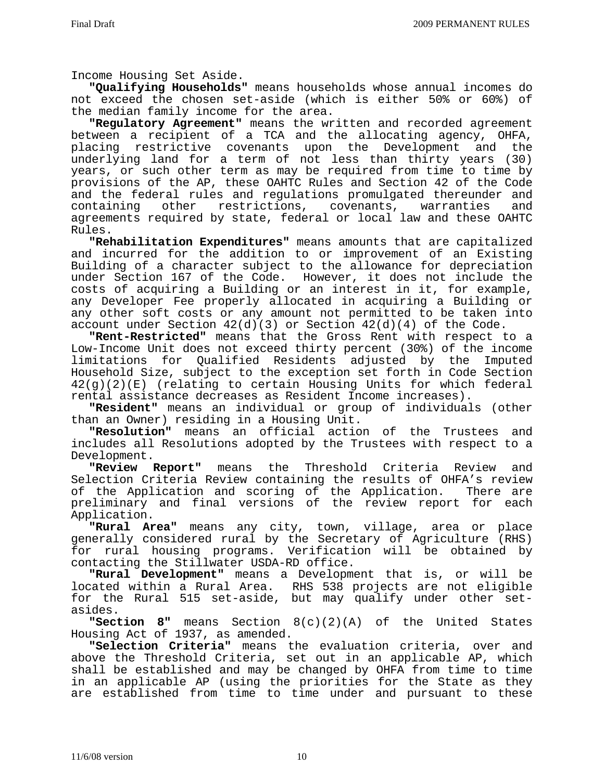Income Housing Set Aside. **"Qualifying Households"** means households whose annual incomes do not exceed the chosen set-aside (which is either 50% or 60%) of the median family income for the area.

 **"Regulatory Agreement"** means the written and recorded agreement between a recipient of a TCA and the allocating agency, OHFA, placing restrictive covenants upon the Development and the underlying land for a term of not less than thirty years (30) years, or such other term as may be required from time to time by provisions of the AP, these OAHTC Rules and Section 42 of the Code and the federal rules and regulations promulgated thereunder and containing other restrictions, covenants, warranties and agreements required by state, federal or local law and these OAHTC Rules.

 **"Rehabilitation Expenditures"** means amounts that are capitalized and incurred for the addition to or improvement of an Existing Building of a character subject to the allowance for depreciation under Section 167 of the Code. However, it does not include the costs of acquiring a Building or an interest in it, for example, any Developer Fee properly allocated in acquiring a Building or any other soft costs or any amount not permitted to be taken into account under Section  $42(d)(3)$  or Section  $42(d)(4)$  of the Code.

 **"Rent-Restricted"** means that the Gross Rent with respect to a Low-Income Unit does not exceed thirty percent (30%) of the income limitations for Qualified Residents adjusted by the Imputed Household Size, subject to the exception set forth in Code Section 42(g)(2)(E) (relating to certain Housing Units for which federal rental assistance decreases as Resident Income increases).

 **"Resident"** means an individual or group of individuals (other than an Owner) residing in a Housing Unit.

 **"Resolution"** means an official action of the Trustees and includes all Resolutions adopted by the Trustees with respect to a Development.

 **"Review Report"** means the Threshold Criteria Review and Selection Criteria Review containing the results of OHFA's review of the Application and scoring of the Application. There are preliminary and final versions of the review report for each Application.

 **"Rural Area"** means any city, town, village, area or place generally considered rural by the Secretary of Agriculture (RHS) for rural housing programs. Verification will be obtained by contacting the Stillwater USDA-RD office.

 **"Rural Development"** means a Development that is, or will be located within a Rural Area. RHS 538 projects are not eligible for the Rural 515 set-aside, but may qualify under other setasides.

 **"Section 8"** means Section 8(c)(2)(A) of the United States Housing Act of 1937, as amended. **"Selection Criteria"** means the evaluation criteria, over and

above the Threshold Criteria, set out in an applicable AP, which shall be established and may be changed by OHFA from time to time in an applicable AP (using the priorities for the State as they are established from time to time under and pursuant to these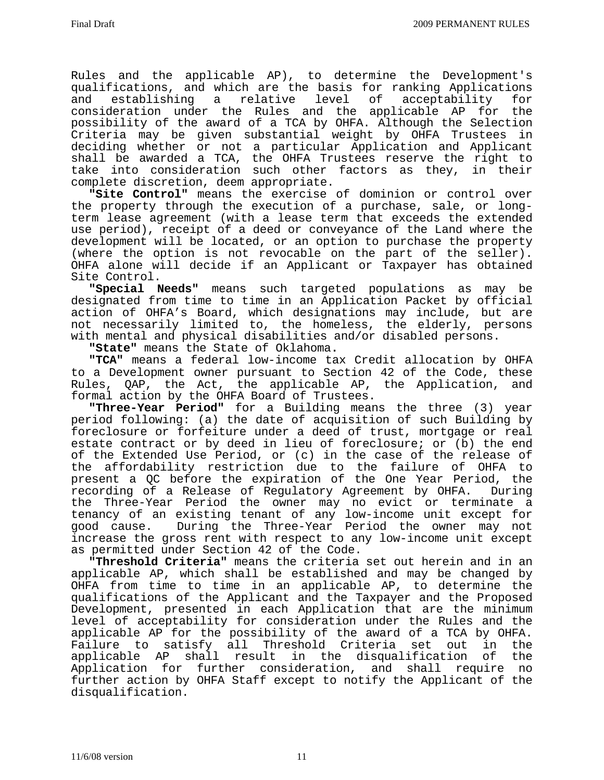Rules and the applicable AP), to determine the Development's qualifications, and which are the basis for ranking Applications and establishing a relative level of acceptability for consideration under the Rules and the applicable AP for the possibility of the award of a TCA by OHFA. Although the Selection Criteria may be given substantial weight by OHFA Trustees in deciding whether or not a particular Application and Applicant shall be awarded a TCA, the OHFA Trustees reserve the right to take into consideration such other factors as they, in their

complete discretion, deem appropriate. **"Site Control"** means the exercise of dominion or control over the property through the execution of a purchase, sale, or longterm lease agreement (with a lease term that exceeds the extended use period), receipt of a deed or conveyance of the Land where the development will be located, or an option to purchase the property (where the option is not revocable on the part of the seller). OHFA alone will decide if an Applicant or Taxpayer has obtained Site Control.

 **"Special Needs"** means such targeted populations as may be designated from time to time in an Application Packet by official action of OHFA's Board, which designations may include, but are not necessarily limited to, the homeless, the elderly, persons with mental and physical disabilities and/or disabled persons. **"State"** means the State of Oklahoma**.** 

 **"TCA"** means a federal low-income tax Credit allocation by OHFA to a Development owner pursuant to Section 42 of the Code, these Rules, QAP, the Act, the applicable AP, the Application, and formal action by the OHFA Board of Trustees.

 **"Three-Year Period"** for a Building means the three (3) year period following: (a) the date of acquisition of such Building by foreclosure or forfeiture under a deed of trust, mortgage or real estate contract or by deed in lieu of foreclosure; or (b) the end of the Extended Use Period, or (c) in the case of the release of the affordability restriction due to the failure of OHFA to present a QC before the expiration of the One Year Period, the recording of a Release of Regulatory Agreement by OHFA. During the Three-Year Period the owner may no evict or terminate a tenancy of an existing tenant of any low-income unit except for good cause. During the Three-Year Period the owner may not increase the gross rent with respect to any low-income unit except as permitted under Section 42 of the Code.

 **"Threshold Criteria"** means the criteria set out herein and in an applicable AP, which shall be established and may be changed by OHFA from time to time in an applicable AP, to determine the qualifications of the Applicant and the Taxpayer and the Proposed Development, presented in each Application that are the minimum level of acceptability for consideration under the Rules and the applicable AP for the possibility of the award of a TCA by OHFA. Failure to satisfy all Threshold Criteria set out in the applicable AP shall result in the disqualification of the Application for further consideration, and shall require no further action by OHFA Staff except to notify the Applicant of the disqualification.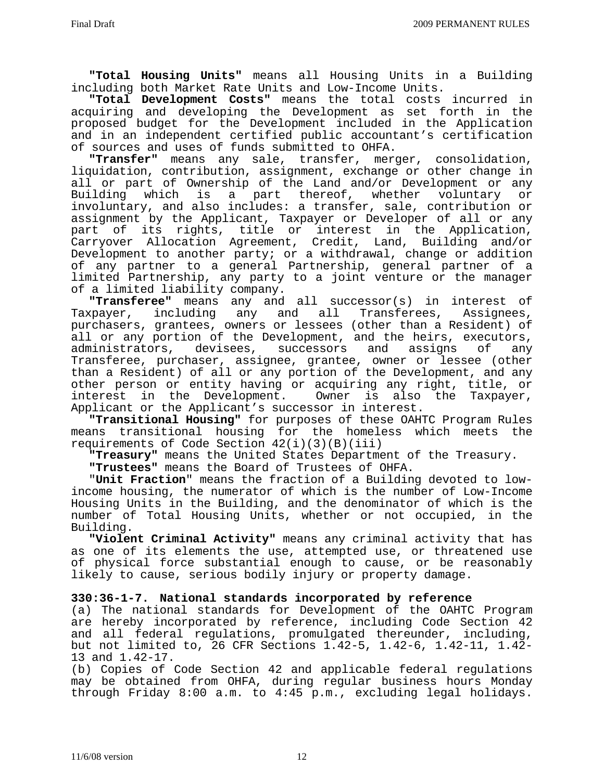**"Total Housing Units"** means all Housing Units in a Building including both Market Rate Units and Low-Income Units.

**"Total Development Costs"** means the total costs incurred in acquiring and developing the Development as set forth in the proposed budget for the Development included in the Application and in an independent certified public accountant's certification<br>of sources and uses of funds submitted to OHFA.

"Transfer" means any sale, transfer, merger, consolidation, liquidation, contribution, assignment, exchange or other change in all or part of Ownership of the Land and/or Development or any<br>Building which is a part thereof, whether voluntary or a part thereof, whether voluntary or involuntary, and also includes: a transfer, sale, contribution or assignment by the Applicant, Taxpayer or Developer of all or any part of its rights, title or interest in the Application, Carryover Allocation Agreement, Credit, Land, Building and/or Development to another party; or a withdrawal, change or addition of any partner to a general Partnership, general partner of a limited Partnership, any party to a joint venture or the manager of a limited liability company.

 **"Transferee"** means any and all successor(s) in interest of Taxpayer, including any and all Transferees, Assignees, purchasers, grantees, owners or lessees (other than a Resident) of all or any portion of the Development, and the heirs, executors,<br>administrators, devisees, successors and assigns of any administrators, devisees, successors and assigns of any Transferee, purchaser, assignee, grantee, owner or lessee (other than a Resident) of all or any portion of the Development, and any other person or entity having or acquiring any right, title, or<br>interest in the Development. Owner is also the Taxpayer, Owner is also the Taxpayer, Applicant or the Applicant's successor in interest.

 **"Transitional Housing"** for purposes of these OAHTC Program Rules means transitional housing for the homeless which meets the requirements of Code Section  $42(i)(3)(B)(iii)$ 

 **"Treasury"** means the United States Department of the Treasury.  **"Trustees"** means the Board of Trustees of OHFA.

 "**Unit Fraction**" means the fraction of a Building devoted to lowincome housing, the numerator of which is the number of Low-Income Housing Units in the Building, and the denominator of which is the number of Total Housing Units, whether or not occupied, in the Building.

**"Violent Criminal Activity"** means any criminal activity that has as one of its elements the use, attempted use, or threatened use of physical force substantial enough to cause, or be reasonably likely to cause, serious bodily injury or property damage.

# **330:36-1-7. National standards incorporated by reference**

(a) The national standards for Development of the OAHTC Program are hereby incorporated by reference, including Code Section 42 and all federal regulations, promulgated thereunder, including, but not limited to, 26 CFR Sections 1.42-5, 1.42-6, 1.42-11, 1.42- 13 and 1.42-17.

(b) Copies of Code Section 42 and applicable federal regulations may be obtained from OHFA, during regular business hours Monday through Friday 8:00 a.m. to 4:45 p.m., excluding legal holidays.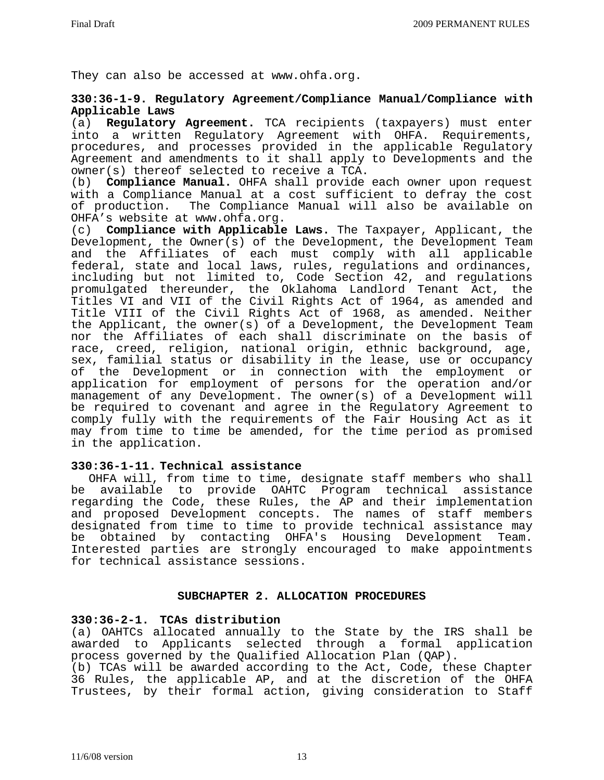They can also be accessed at www.ohfa.org.

## **330:36-1-9. Regulatory Agreement/Compliance Manual/Compliance with Applicable Laws**

(a) **Regulatory Agreement.** TCA recipients (taxpayers) must enter into a written Regulatory Agreement with OHFA. Requirements, procedures, and processes provided in the applicable Regulatory Agreement and amendments to it shall apply to Developments and the owner(s) thereof selected to receive a TCA.

(b) **Compliance Manual.** OHFA shall provide each owner upon request with a Compliance Manual at a cost sufficient to defray the cost of production. The Compliance Manual will also be available on<br>OHFA's website at www.ohfa.org.

(c) **Compliance with Applicable Laws.** The Taxpayer, Applicant, the Development, the Owner(s) of the Development, the Development Team and the Affiliates of each must comply with all applicable federal, state and local laws, rules, regulations and ordinances, including but not limited to, Code Section 42, and regulations promulgated thereunder, the Oklahoma Landlord Tenant Act, the Titles VI and VII of the Civil Rights Act of 1964, as amended and Title VIII of the Civil Rights Act of 1968, as amended. Neither the Applicant, the owner(s) of a Development, the Development Team nor the Affiliates of each shall discriminate on the basis of race, creed, religion, national origin, ethnic background, age, sex, familial status or disability in the lease, use or occupancy of the Development or in connection with the employment or application for employment of persons for the operation and/or management of any Development. The owner(s) of a Development will be required to covenant and agree in the Regulatory Agreement to comply fully with the requirements of the Fair Housing Act as it may from time to time be amended, for the time period as promised in the application.

# **330:36-1-11. Technical assistance**

OHFA will, from time to time, designate staff members who shall be available to provide OAHTC Program technical assistance regarding the Code, these Rules, the AP and their implementation and proposed Development concepts. The names of staff members designated from time to time to provide technical assistance may be obtained by contacting OHFA's Housing Development Team. Interested parties are strongly encouraged to make appointments for technical assistance sessions.

## **SUBCHAPTER 2. ALLOCATION PROCEDURES**

# **330:36-2-1. TCAs distribution**

(a) OAHTCs allocated annually to the State by the IRS shall be awarded to Applicants selected through a formal application process governed by the Qualified Allocation Plan (QAP).

(b) TCAs will be awarded according to the Act, Code, these Chapter 36 Rules, the applicable AP, and at the discretion of the OHFA Trustees, by their formal action, giving consideration to Staff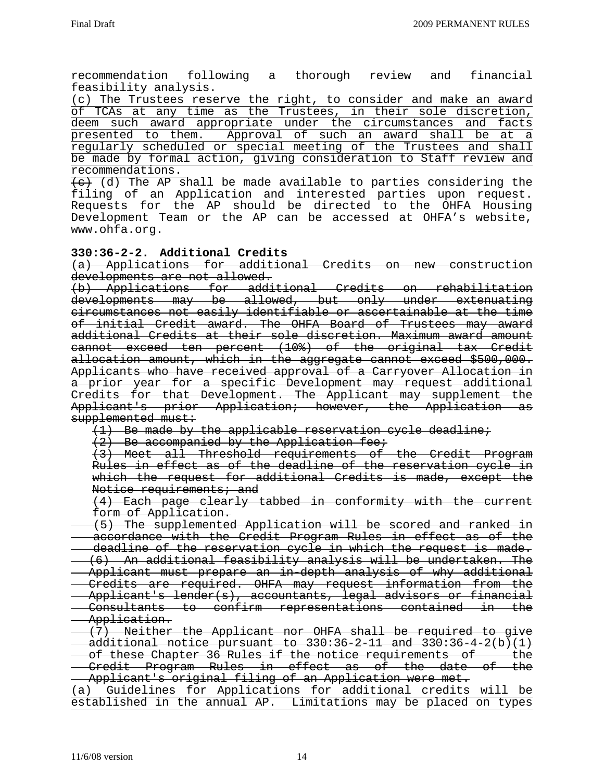recommendation following a thorough review and financial feasibility analysis.

(c) The Trustees reserve the right, to consider and make an award of TCAs at any time as the Trustees, in their sole discretion, deem such award appropriate under the circumstances and facts presented to them. Approval of such an award shall be at a regularly scheduled or special meeting of the Trustees and shall be made by formal action, giving consideration to Staff review and<br>recommendations.

 $\overline{e}$  (d) The AP shall be made available to parties considering the filing of an Application and interested parties upon request. Requests for the AP should be directed to the OHFA Housing Development Team or the AP can be accessed at OHFA's website, www.ohfa.org.

## **330:36-2-2. Additional Credits**

(a) Applications for additional Credits on new construction developments are not allowed.

(b) Applications for additional Credits on rehabilitation developments may be allowed, but only under extenuating circumstances not easily identifiable or ascertainable at the time of initial Credit award. The OHFA Board of Trustees may award additional Credits at their sole discretion. Maximum award amount cannot exceed ten percent (10%) of the original tax Credit allocation amount, which in the aggregate cannot exceed \$500,000. Applicants who have received approval of a Carryover Allocation in a prior year for a specific Development may request additional Credits for that Development. The Applicant may supplement the Applicant's prior Application; however, the Application as supplemented must:

(1) Be made by the applicable reservation cycle deadline;

(2) Be accompanied by the Application fee;

(3) Meet all Threshold requirements of the Credit Program Rules in effect as of the deadline of the reservation cycle in which the request for additional Credits is made, except the Notice requirements; and

(4) Each page clearly tabbed in conformity with the current form of Application.

(5) The supplemented Application will be scored and ranked in accordance with the Credit Program Rules in effect as of the deadline of the reservation cycle in which the request is made. (6) An additional feasibility analysis will be undertaken. The Applicant must prepare an in-depth analysis of why additional Credits are required. OHFA may request information from the Applicant's lender(s), accountants, legal advisors or financial Consultants to confirm representations contained in the Application.

(7) Neither the Applicant nor OHFA shall be required to give additional notice pursuant to 330:36-2-11 and 330:36-4-2(b)(1) - of these Chapter 36 Rules if the notice requirements of the Credit Program Rules in effect as of the date of the Applicant's original filing of an Application were met.

(a) Guidelines for Applications for additional credits will be established in the annual AP. Limitations may be placed on types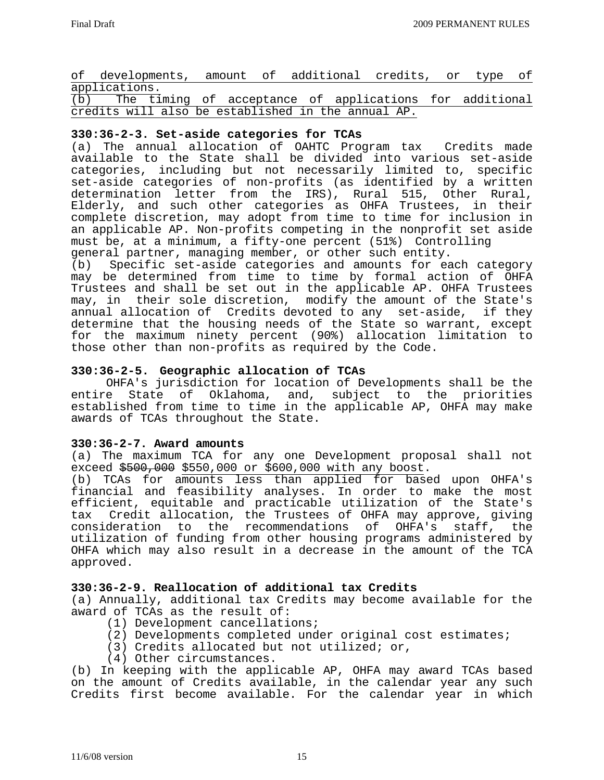|               | of developments, amount of additional credits, or type of |  |  |  |  |  |                                                         |  |  |  |  |
|---------------|-----------------------------------------------------------|--|--|--|--|--|---------------------------------------------------------|--|--|--|--|
| applications. |                                                           |  |  |  |  |  |                                                         |  |  |  |  |
| (b)           |                                                           |  |  |  |  |  | The timing of acceptance of applications for additional |  |  |  |  |

credits will also be established in the annual AP.

# **330:36-2-3. Set-aside categories for TCAs**

(a) The annual allocation of OAHTC Program tax Credits made available to the State shall be divided into various set-aside categories, including but not necessarily limited to, specific set-aside categories of non-profits (as identified by a written determination letter from the IRS), Rural 515, Other Rural, Elderly, and such other categories as OHFA Trustees, in their complete discretion, may adopt from time to time for inclusion in an applicable AP. Non-profits competing in the nonprofit set aside must be, at a minimum, a fifty-one percent (51%) Controlling general partner, managing member, or other such entity.

(b) Specific set-aside categories and amounts for each category may be determined from time to time by formal action of OHFA Trustees and shall be set out in the applicable AP. OHFA Trustees may, in their sole discretion, modify the amount of the State's annual allocation of Credits devoted to any set-aside, if they determine that the housing needs of the State so warrant, except for the maximum ninety percent (90%) allocation limitation to those other than non-profits as required by the Code.

# **330:36-2-5. Geographic allocation of TCAs**

OHFA's jurisdiction for location of Developments shall be the<br>e State of Oklahoma, and, subject to the priorities entire State of Oklahoma, and, subject to the priorities established from time to time in the applicable AP, OHFA may make awards of TCAs throughout the State.

# **330:36-2-7. Award amounts**

(a) The maximum TCA for any one Development proposal shall not exceed \$500,000 \$550,000 or \$600,000 with any boost.

(b) TCAs for amounts less than applied for based upon OHFA's financial and feasibility analyses. In order to make the most efficient, equitable and practicable utilization of the State's tax Credit allocation, the Trustees of OHFA may approve, giving consideration to the recommendations of OHFA's staff, the utilization of funding from other housing programs administered by OHFA which may also result in a decrease in the amount of the TCA approved.

# **330:36-2-9. Reallocation of additional tax Credits**

(a) Annually, additional tax Credits may become available for the award of TCAs as the result of:

- (1) Development cancellations;
- (2) Developments completed under original cost estimates;
- (3) Credits allocated but not utilized; or,
- (4) Other circumstances.

(b) In keeping with the applicable AP, OHFA may award TCAs based on the amount of Credits available, in the calendar year any such Credits first become available. For the calendar year in which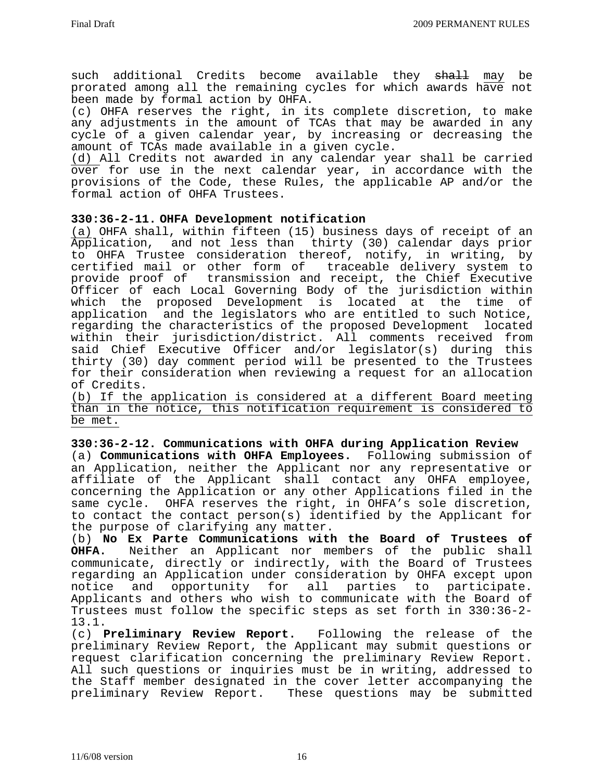such additional Credits become available they shall may be prorated among all the remaining cycles for which awards have not been made by formal action by OHFA.

(c) OHFA reserves the right, in its complete discretion, to make any adjustments in the amount of TCAs that may be awarded in any cycle of a given calendar year, by increasing or decreasing the amount of TCAs made available in a given cycle.

(d) All Credits not awarded in any calendar year shall be carried over for use in the next calendar year, in accordance with the provisions of the Code, these Rules, the applicable AP and/or the formal action of OHFA Trustees.

## **330:36-2-11. OHFA Development notification**

(a) OHFA shall, within fifteen (15) business days of receipt of an Application, and not less than thirty (30) calendar days prior to OHFA Trustee consideration thereof, notify, in writing, by certified mail or other form of traceable delivery system to provide proof of transmission and receipt, the Chief Executive Officer of each Local Governing Body of the jurisdiction within which the proposed Development is located at the time of application and the legislators who are entitled to such Notice, regarding the characteristics of the proposed Development located within their jurisdiction/district. All comments received from said Chief Executive Officer and/or legislator(s) during this thirty (30) day comment period will be presented to the Trustees for their consideration when reviewing a request for an allocation of Credits.

(b) If the application is considered at a different Board meeting than in the notice, this notification requirement is considered to be met.

 $\overline{a}$ **330:36-2-12. Communications with OHFA during Application Review**  (a) **Communications with OHFA Employees.** Following submission of an Application, neither the Applicant nor any representative or affiliate of the Applicant shall contact any OHFA employee, concerning the Application or any other Applications filed in the same cycle. OHFA reserves the right, in OHFA's sole discretion, to contact the contact person(s) identified by the Applicant for the purpose of clarifying any matter.

(b) **No Ex Parte Communications with the Board of Trustees of OHFA.** Neither an Applicant nor members of the public shall communicate, directly or indirectly, with the Board of Trustees regarding an Application under consideration by OHFA except upon notice and opportunity for all parties to participate. Applicants and others who wish to communicate with the Board of Trustees must follow the specific steps as set forth in 330:36-2-

13.1. (c) **Preliminary Review Report.** Following the release of the preliminary Review Report, the Applicant may submit questions or request clarification concerning the preliminary Review Report. All such questions or inquiries must be in writing, addressed to the Staff member designated in the cover letter accompanying the preliminary Review Report. These questions may be submitted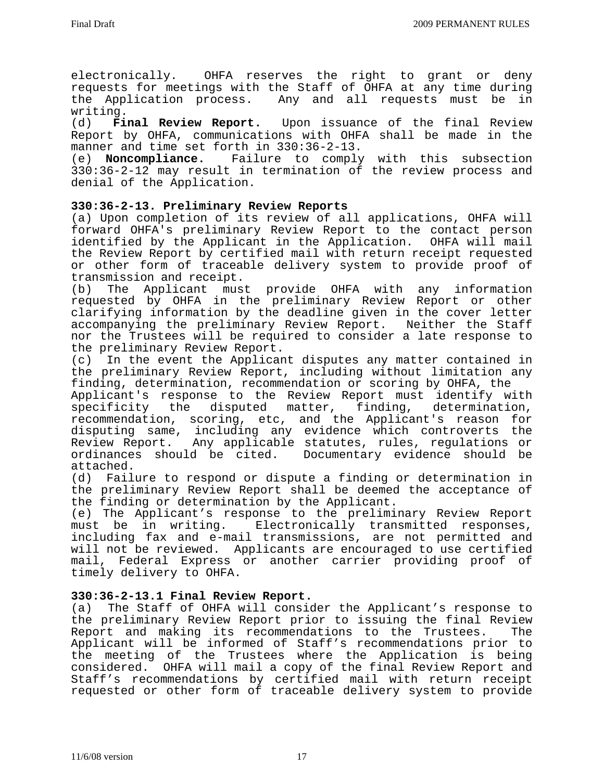electronically. OHFA reserves the right to grant or deny requests for meetings with the Staff of OHFA at any time during the Application process. Any and all requests must be in

writing. (d) **Final Review Report.** Upon issuance of the final Review Report by OHFA, communications with OHFA shall be made in the manner and time set forth in 330:36-2-13.<br>(e) **Noncompliance.** Failure to comply

Failure to comply with this subsection 330:36-2-12 may result in termination of the review process and denial of the Application.

## **330:36-2-13. Preliminary Review Reports**

(a) Upon completion of its review of all applications, OHFA will forward OHFA's preliminary Review Report to the contact person identified by the Applicant in the Application. OHFA will mail the Review Report by certified mail with return receipt requested or other form of traceable delivery system to provide proof of transmission and receipt.

(b) The Applicant must provide OHFA with any information requested by OHFA in the preliminary Review Report or other clarifying information by the deadline given in the cover letter accompanying the preliminary Review Report. Neither the Staff nor the Trustees will be required to consider a late response to the preliminary Review Report.

(c) In the event the Applicant disputes any matter contained in the preliminary Review Report, including without limitation any finding, determination, recommendation or scoring by OHFA, the

Applicant's response to the Review Report must identify with specificity the disputed matter, finding, determination, recommendation, scoring, etc, and the Applicant's reason for disputing same, including any evidence which controverts the Review Report. Any applicable statutes, rules, regulations or ordinances should be cited. Documentary evidence should be attached.

(d) Failure to respond or dispute a finding or determination in the preliminary Review Report shall be deemed the acceptance of the finding or determination by the Applicant.

(e) The Applicant's response to the preliminary Review Report must be in writing. Electronically transmitted responses, including fax and e-mail transmissions, are not permitted and will not be reviewed. Applicants are encouraged to use certified mail, Federal Express or another carrier providing proof of timely delivery to OHFA.

# **330:36-2-13.1 Final Review Report.**

(a) The Staff of OHFA will consider the Applicant's response to the preliminary Review Report prior to issuing the final Review Report and making its recommendations to the Trustees. The Applicant will be informed of Staff's recommendations prior to the meeting of the Trustees where the Application is being considered. OHFA will mail a copy of the final Review Report and Staff's recommendations by certified mail with return receipt requested or other form of traceable delivery system to provide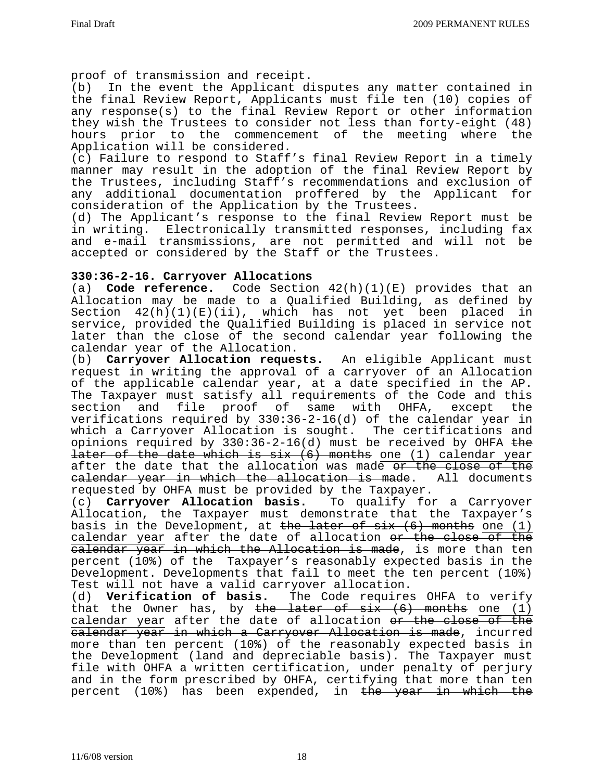proof of transmission and receipt.

(b) In the event the Applicant disputes any matter contained in the final Review Report, Applicants must file ten (10) copies of any response(s) to the final Review Report or other information they wish the Trustees to consider not less than forty-eight (48) hours prior to the commencement of the meeting where the Application will be considered.

(c) Failure to respond to Staff's final Review Report in a timely manner may result in the adoption of the final Review Report by the Trustees, including Staff's recommendations and exclusion of any additional documentation proffered by the Applicant for consideration of the Application by the Trustees.

(d) The Applicant's response to the final Review Report must be in writing. Electronically transmitted responses, including fax and e-mail transmissions, are not permitted and will not be accepted or considered by the Staff or the Trustees.

## **330:36-2-16. Carryover Allocations**

(a) **Code reference.** Code Section 42(h)(1)(E) provides that an Allocation may be made to a Qualified Building, as defined by Section 42(h)(1)(E)(ii), which has not yet been placed in service, provided the Qualified Building is placed in service not later than the close of the second calendar year following the calendar year of the Allocation.

(b) **Carryover Allocation requests.** An eligible Applicant must request in writing the approval of a carryover of an Allocation of the applicable calendar year, at a date specified in the AP. The Taxpayer must satisfy all requirements of the Code and this section and file proof of same with OHFA, except the verifications required by 330:36-2-16(d) of the calendar year in which a Carryover Allocation is sought. The certifications and opinions required by  $330:36-2-16(d)$  must be received by OHFA the later of the date which is  $six (6)$  months one (1) calendar year after the date that the allocation was made or the close of the calendar year in which the allocation is made. All documents requested by OHFA must be provided by the Taxpayer.

(c) **Carryover Allocation basis.** To qualify for a Carryover Allocation, the Taxpayer must demonstrate that the Taxpayer's basis in the Development, at the later of six (6) months one (1) calendar year after the date of allocation or the close of the calendar year in which the Allocation is made, is more than ten percent (10%) of the Taxpayer's reasonably expected basis in the Development. Developments that fail to meet the ten percent (10%)

Test will not have a valid carryover allocation.<br>(d) **Verification of basis.** The Code require The Code requires OHFA to verify that the Owner has, by the later of  $six$  (6) months one (1) calendar year after the date of allocation or the close of the calendar year in which a Carryover Allocation is made, incurred more than ten percent (10%) of the reasonably expected basis in the Development (land and depreciable basis). The Taxpayer must file with OHFA a written certification, under penalty of perjury and in the form prescribed by OHFA, certifying that more than ten percent (10%) has been expended, in <del>the year in which the</del>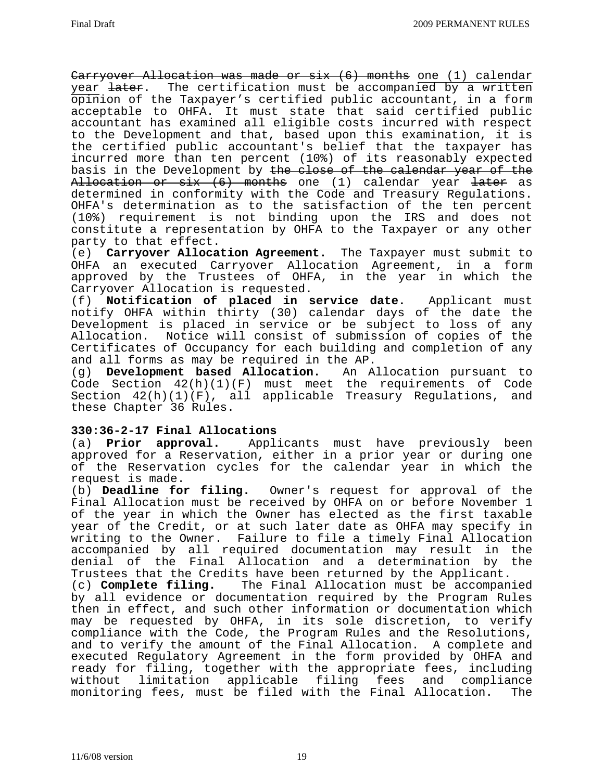Carryover Allocation was made or  $six$  (6) months one (1) calendar year later. The certification must be accompanied by a written opinion of the Taxpayer's certified public accountant, in a form acceptable to OHFA. It must state that said certified public accountant has examined all eligible costs incurred with respect to the Development and that, based upon this examination, it is the certified public accountant's belief that the taxpayer has incurred more than ten percent (10%) of its reasonably expected basis in the Development by the close of the calendar year of the Allocation or six (6) months one (1) calendar year later as determined in conformity with the Code and Treasury Regulations. OHFA's determination as to the satisfaction of the ten percent (10%) requirement is not binding upon the IRS and does not constitute a representation by OHFA to the Taxpayer or any other party to that effect. (e) **Carryover Allocation Agreement.** The Taxpayer must submit to

OHFA an executed Carryover Allocation Agreement, in a form approved by the Trustees of OHFA, in the year in which the Carryover Allocation is requested.

(f) **Notification of placed in service date.** Applicant must notify OHFA within thirty (30) calendar days of the date the Development is placed in service or be subject to loss of any Allocation. Notice will consist of submission of copies of the Certificates of Occupancy for each building and completion of any and all forms as may be required in the AP.

(g) **Development based Allocation.** An Allocation pursuant to Code Section 42(h)(1)(F) must meet the requirements of Code Section 42(h)(1)(F), all applicable Treasury Regulations, and these Chapter 36 Rules.

# **330:36-2-17 Final Allocations**

(a) **Prior approval.** Applicants must have previously been approved for a Reservation, either in a prior year or during one of the Reservation cycles for the calendar year in which the request is made.

(b) **Deadline for filing.** Owner's request for approval of the Final Allocation must be received by OHFA on or before November 1 of the year in which the Owner has elected as the first taxable year of the Credit, or at such later date as OHFA may specify in writing to the Owner. Failure to file a timely Final Allocation accompanied by all required documentation may result in the denial of the Final Allocation and a determination by the Trustees that the Credits have been returned by the Applicant.

(c) **Complete filing.** The Final Allocation must be accompanied by all evidence or documentation required by the Program Rules then in effect, and such other information or documentation which may be requested by OHFA, in its sole discretion, to verify compliance with the Code, the Program Rules and the Resolutions, and to verify the amount of the Final Allocation. A complete and executed Regulatory Agreement in the form provided by OHFA and ready for filing, together with the appropriate fees, including without limitation applicable filing fees and compliance monitoring fees, must be filed with the Final Allocation. The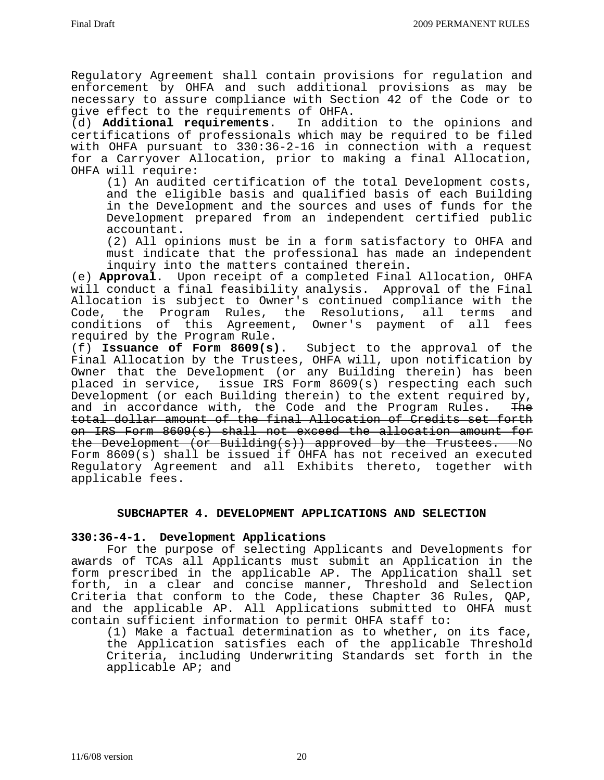Regulatory Agreement shall contain provisions for regulation and enforcement by OHFA and such additional provisions as may be necessary to assure compliance with Section 42 of the Code or to give effect to the requirements of OHFA.

(d) **Additional requirements.** In addition to the opinions and certifications of professionals which may be required to be filed with OHFA pursuant to 330:36-2-16 in connection with a request for a Carryover Allocation, prior to making a final Allocation, OHFA will require:

(1) An audited certification of the total Development costs, and the eligible basis and qualified basis of each Building in the Development and the sources and uses of funds for the Development prepared from an independent certified public accountant.

(2) All opinions must be in a form satisfactory to OHFA and must indicate that the professional has made an independent inquiry into the matters contained therein.

(e) **Approval.** Upon receipt of a completed Final Allocation, OHFA will conduct a final feasibility analysis. Approval of the Final Allocation is subject to Owner's continued compliance with the Code, the Program Rules, the Resolutions, all terms and conditions of this Agreement, Owner's payment of all fees required by the Program Rule.<br>(f) Issuance of Form 8609(s).

Subject to the approval of the Final Allocation by the Trustees, OHFA will, upon notification by Owner that the Development (or any Building therein) has been placed in service, issue IRS Form 8609(s) respecting each such Development (or each Building therein) to the extent required by, and in accordance with, the Code and the Program Rules. The total dollar amount of the final Allocation of Credits set forth on IRS Form 8609(s) shall not exceed the allocation amount for the Development (or Building(s)) approved by the Trustees. No Form 8609(s) shall be issued if OHFA has not received an executed Regulatory Agreement and all Exhibits thereto, together with applicable fees.

## **SUBCHAPTER 4. DEVELOPMENT APPLICATIONS AND SELECTION**

# **330:36-4-1. Development Applications**

 For the purpose of selecting Applicants and Developments for awards of TCAs all Applicants must submit an Application in the form prescribed in the applicable AP. The Application shall set forth, in a clear and concise manner, Threshold and Selection Criteria that conform to the Code, these Chapter 36 Rules, QAP, and the applicable AP. All Applications submitted to OHFA must contain sufficient information to permit OHFA staff to:

(1) Make a factual determination as to whether, on its face, the Application satisfies each of the applicable Threshold Criteria, including Underwriting Standards set forth in the applicable AP; and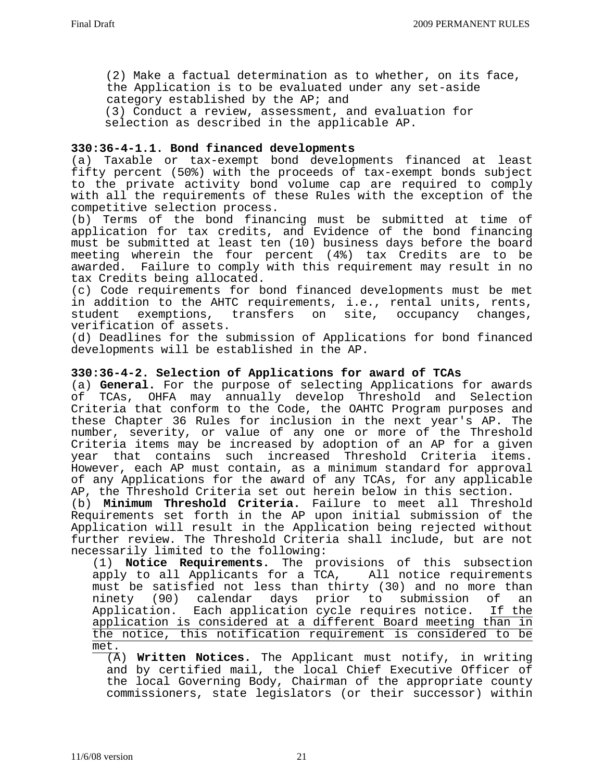(2) Make a factual determination as to whether, on its face, the Application is to be evaluated under any set-aside category established by the AP; and (3) Conduct a review, assessment, and evaluation for selection as described in the applicable AP.

# **330:36-4-1.1. Bond financed developments**

(a) Taxable or tax-exempt bond developments financed at least fifty percent (50%) with the proceeds of tax-exempt bonds subject to the private activity bond volume cap are required to comply with all the requirements of these Rules with the exception of the competitive selection process.

(b) Terms of the bond financing must be submitted at time of application for tax credits, and Evidence of the bond financing must be submitted at least ten (10) business days before the board meeting wherein the four percent (4%) tax Credits are to be awarded. Failure to comply with this requirement may result in no tax Credits being allocated.

(c) Code requirements for bond financed developments must be met in addition to the AHTC requirements, i.e., rental units, rents, student exemptions, transfers on site, occupancy changes, verification of assets.

(d) Deadlines for the submission of Applications for bond financed developments will be established in the AP.

## **330:36-4-2. Selection of Applications for award of TCAs**

(a) **General.** For the purpose of selecting Applications for awards of TCAs, OHFA may annually develop Threshold and Selection Criteria that conform to the Code, the OAHTC Program purposes and these Chapter 36 Rules for inclusion in the next year's AP. The number, severity, or value of any one or more of the Threshold Criteria items may be increased by adoption of an AP for a given year that contains such increased Threshold Criteria items. However, each AP must contain, as a minimum standard for approval of any Applications for the award of any TCAs, for any applicable AP, the Threshold Criteria set out herein below in this section.

(b) **Minimum Threshold Criteria.** Failure to meet all Threshold Requirements set forth in the AP upon initial submission of the Application will result in the Application being rejected without further review. The Threshold Criteria shall include, but are not necessarily limited to the following:

(1) **Notice Requirements.** The provisions of this subsection apply to all Applicants for a TCA, must be satisfied not less than thirty (30) and no more than ninety (90) calendar days prior to submission of an Application. Each application cycle requires notice. If the application is considered at a different Board meeting than in the notice, this notification requirement is considered to be met.

(A) **Written Notices.** The Applicant must notify, in writing and by certified mail, the local Chief Executive Officer of the local Governing Body, Chairman of the appropriate county commissioners, state legislators (or their successor) within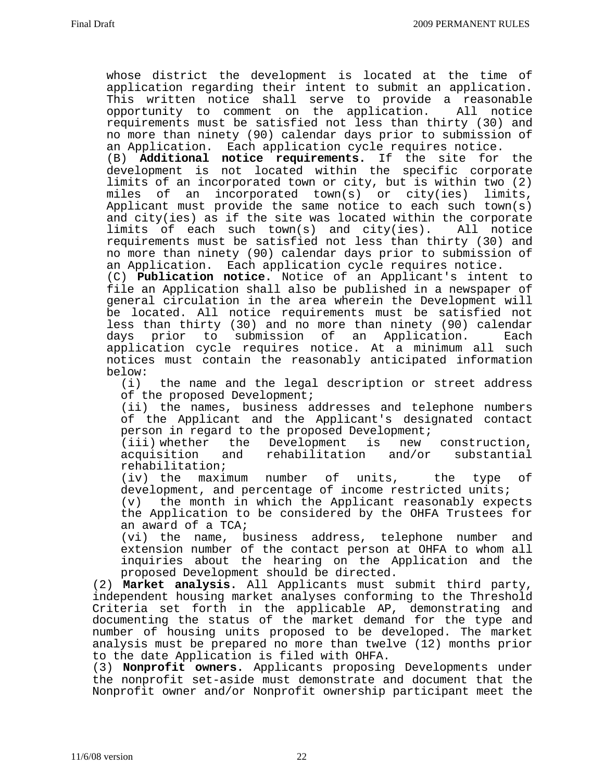whose district the development is located at the time of application regarding their intent to submit an application. This written notice shall serve to provide a reasonable opportunity to comment on the application. All notice requirements must be satisfied not less than thirty (30) and no more than ninety (90) calendar days prior to submission of an Application. Each application cycle requires notice.

(B) **Additional notice requirements.** If the site for the development is not located within the specific corporate limits of an incorporated town or city, but is within two (2) miles of an incorporated town(s) or city(ies) limits, Applicant must provide the same notice to each such town(s) and city(ies) as if the site was located within the corporate<br>limits of each such town(s) and city(ies). All notice limits of each such town(s) and city(ies). requirements must be satisfied not less than thirty (30) and no more than ninety (90) calendar days prior to submission of an Application. Each application cycle requires notice.

(C) **Publication notice.** Notice of an Applicant's intent to file an Application shall also be published in a newspaper of general circulation in the area wherein the Development will be located. All notice requirements must be satisfied not less than thirty (30) and no more than ninety (90) calendar days prior to submission of an Application. Each application cycle requires notice. At a minimum all such notices must contain the reasonably anticipated information below:<br> $(i)$ 

the name and the legal description or street address of the proposed Development;

(ii) the names, business addresses and telephone numbers of the Applicant and the Applicant's designated contact person in regard to the proposed Development;

(iii) whether the Development is new construction,<br>acquisition and rehabilitation and/or substantial and/or substantial rehabilitation;

(iv) the maximum number of units, the type of development, and percentage of income restricted units;

(v) the month in which the Applicant reasonably expects the Application to be considered by the OHFA Trustees for an award of a TCA;

(vi) the name, business address, telephone number and extension number of the contact person at OHFA to whom all inquiries about the hearing on the Application and the proposed Development should be directed.

(2) **Market analysis.** All Applicants must submit third party, independent housing market analyses conforming to the Threshold Criteria set forth in the applicable AP, demonstrating and documenting the status of the market demand for the type and number of housing units proposed to be developed. The market analysis must be prepared no more than twelve (12) months prior to the date Application is filed with OHFA.

(3) **Nonprofit owners.** Applicants proposing Developments under the nonprofit set-aside must demonstrate and document that the Nonprofit owner and/or Nonprofit ownership participant meet the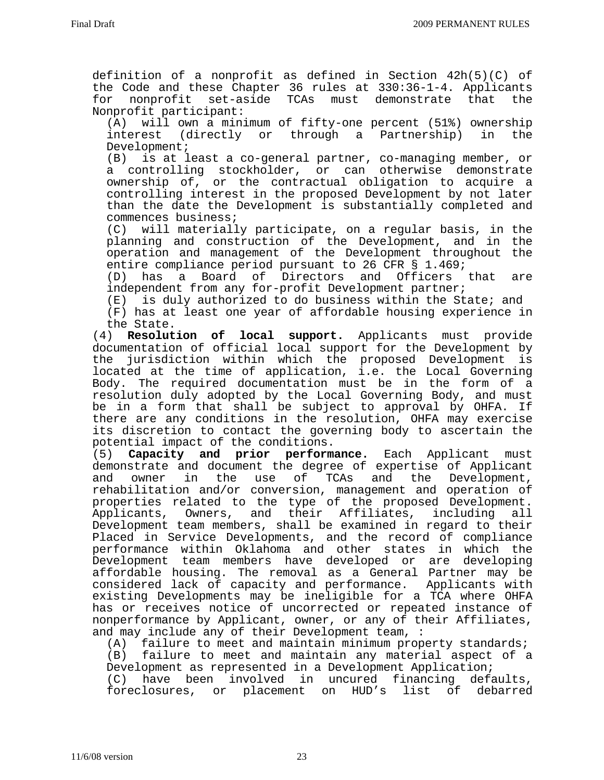definition of a nonprofit as defined in Section 42h(5)(C) of the Code and these Chapter 36 rules at 330:36-1-4. Applicants for nonprofit set-aside TCAs must demonstrate that the Nonprofit participant:

(A) will own a minimum of fifty-one percent (51%) ownership interest (directly or through a Partnership) in the Development;

(B) is at least a co-general partner, co-managing member, or a controlling stockholder, or can otherwise demonstrate ownership of, or the contractual obligation to acquire a controlling interest in the proposed Development by not later than the date the Development is substantially completed and commences business;

(C) will materially participate, on a regular basis, in the planning and construction of the Development, and in the operation and management of the Development throughout the entire compliance period pursuant to 26 CFR § 1.469;

(D) has a Board of Directors and Officers that are independent from any for-profit Development partner;

(E) is duly authorized to do business within the State; and

(F) has at least one year of affordable housing experience in

the State. (4) **Resolution of local support.** Applicants must provide documentation of official local support for the Development by the jurisdiction within which the proposed Development is located at the time of application, i.e. the Local Governing Body. The required documentation must be in the form of a resolution duly adopted by the Local Governing Body, and must be in a form that shall be subject to approval by OHFA. If there are any conditions in the resolution, OHFA may exercise its discretion to contact the governing body to ascertain the potential impact of the conditions.

(5) **Capacity and prior performance.** Each Applicant must demonstrate and document the degree of expertise of Applicant and owner in the use of TCAs and the Development, rehabilitation and/or conversion, management and operation of properties related to the type of the proposed Development. Applicants, Owners, and their Affiliates, including all Development team members, shall be examined in regard to their Placed in Service Developments, and the record of compliance performance within Oklahoma and other states in which the Development team members have developed or are developing affordable housing. The removal as a General Partner may be considered lack of capacity and performance. Applicants with existing Developments may be ineligible for a TCA where OHFA has or receives notice of uncorrected or repeated instance of nonperformance by Applicant, owner, or any of their Affiliates, and may include any of their Development team, :

(A) failure to meet and maintain minimum property standards; (B) failure to meet and maintain any material aspect of a Development as represented in a Development Application; (C) have been involved in uncured financing defaults, foreclosures, or placement on HUD's list of debarred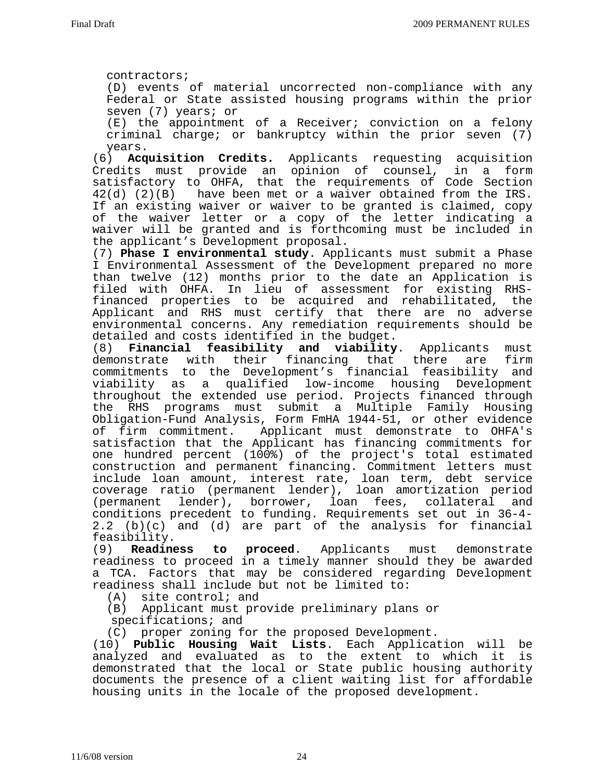contractors;

(D) events of material uncorrected non-compliance with any Federal or State assisted housing programs within the prior seven (7) years; or

(E) the appointment of a Receiver; conviction on a felony criminal charge; or bankruptcy within the prior seven  $(7)$ 

years. (6) **Acquisition Credits.** Applicants requesting acquisition Credits must provide an opinion of counsel, in a form satisfactory to OHFA, that the requirements of Code Section 42(d) (2)(B) have been met or a waiver obtained from the IRS. If an existing waiver or waiver to be granted is claimed, copy of the waiver letter or a copy of the letter indicating a waiver will be granted and is forthcoming must be included in the applicant's Development proposal.

(7) **Phase I environmental study**. Applicants must submit a Phase I Environmental Assessment of the Development prepared no more than twelve (12) months prior to the date an Application is filed with OHFA. In lieu of assessment for existing RHSfinanced properties to be acquired and rehabilitated, the Applicant and RHS must certify that there are no adverse environmental concerns. Any remediation requirements should be detailed and costs identified in the budget.

(8) **Financial feasibility and viability**. Applicants must demonstrate with their financing that there are firm commitments to the Development's financial feasibility and viability as a qualified low-income housing Development throughout the extended use period. Projects financed through the RHS programs must submit a Multiple Family Housing Obligation-Fund Analysis, Form FmHA 1944-51, or other evidence of firm commitment. Applicant must demonstrate to OHFA's satisfaction that the Applicant has financing commitments for one hundred percent (100%) of the project's total estimated construction and permanent financing. Commitment letters must include loan amount, interest rate, loan term, debt service coverage ratio (permanent lender), loan amortization period (permanent lender), borrower, loan fees, collateral and conditions precedent to funding. Requirements set out in 36-4- 2.2 (b)(c) and (d) are part of the analysis for financial

feasibility.<br>(9) **Readiness** (9) **Readiness to proceed**. Applicants must demonstrate readiness to proceed in a timely manner should they be awarded a TCA. Factors that may be considered regarding Development readiness shall include but not be limited to:

(A) site control; and

(B) Applicant must provide preliminary plans or

specifications; and

(C) proper zoning for the proposed Development.

(10) **Public Housing Wait Lists**. Each Application will be analyzed and evaluated as to the extent to which it is demonstrated that the local or State public housing authority documents the presence of a client waiting list for affordable housing units in the locale of the proposed development.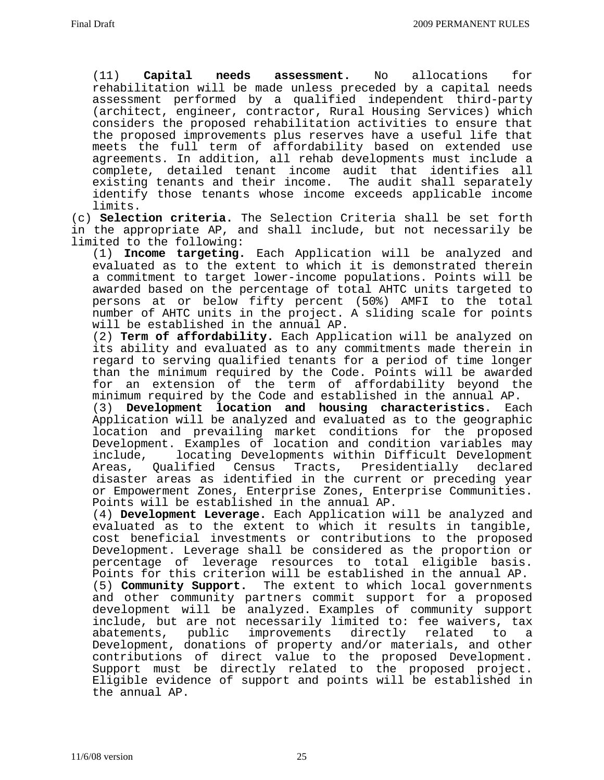(11) **Capital needs assessment.** No allocations for rehabilitation will be made unless preceded by a capital needs assessment performed by a qualified independent third-party (architect, engineer, contractor, Rural Housing Services) which considers the proposed rehabilitation activities to ensure that the proposed improvements plus reserves have a useful life that meets the full term of affordability based on extended use agreements. In addition, all rehab developments must include a complete, detailed tenant income audit that identifies all existing tenants and their income. The audit shall separately identify those tenants whose income exceeds applicable income limits.

(c) **Selection criteria.** The Selection Criteria shall be set forth in the appropriate AP, and shall include, but not necessarily be limited to the following:

(1) **Income targeting.** Each Application will be analyzed and evaluated as to the extent to which it is demonstrated therein a commitment to target lower-income populations. Points will be awarded based on the percentage of total AHTC units targeted to persons at or below fifty percent (50%) AMFI to the total number of AHTC units in the project. A sliding scale for points will be established in the annual AP.

(2) **Term of affordability.** Each Application will be analyzed on its ability and evaluated as to any commitments made therein in regard to serving qualified tenants for a period of time longer than the minimum required by the Code. Points will be awarded for an extension of the term of affordability beyond the minimum required by the Code and established in the annual AP.

(3) **Development location and housing characteristics.** Each Application will be analyzed and evaluated as to the geographic location and prevailing market conditions for the proposed Development. Examples of location and condition variables may include, locating Developments within Difficult Development Areas, Qualified Census Tracts, Presidentially declared disaster areas as identified in the current or preceding year or Empowerment Zones, Enterprise Zones, Enterprise Communities. Points will be established in the annual AP.

(4) **Development Leverage.** Each Application will be analyzed and evaluated as to the extent to which it results in tangible, cost beneficial investments or contributions to the proposed Development. Leverage shall be considered as the proportion or percentage of leverage resources to total eligible basis. Points for this criterion will be established in the annual AP. (5) **Community Support.** The extent to which local governments and other community partners commit support for a proposed development will be analyzed. Examples of community support include, but are not necessarily limited to: fee waivers, tax abatements, public improvements directly related to a Development, donations of property and/or materials, and other contributions of direct value to the proposed Development. Support must be directly related to the proposed project. Eligible evidence of support and points will be established in the annual AP.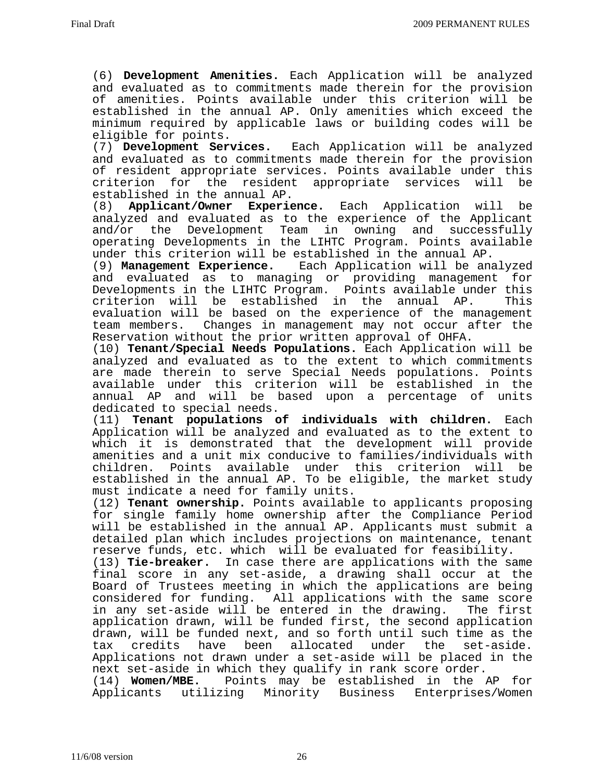(6) **Development Amenities.** Each Application will be analyzed and evaluated as to commitments made therein for the provision of amenities. Points available under this criterion will be established in the annual AP. Only amenities which exceed the minimum required by applicable laws or building codes will be eligible for points.

(7) **Development Services.** Each Application will be analyzed and evaluated as to commitments made therein for the provision of resident appropriate services. Points available under this criterion for the resident appropriate services will be established in the annual AP.

(8) **Applicant/Owner Experience.** Each Application will be analyzed and evaluated as to the experience of the Applicant and/or the Development Team in owning and successfully operating Developments in the LIHTC Program. Points available under this criterion will be established in the annual AP.

(9) **Management Experience.** Each Application will be analyzed and evaluated as to managing or providing management for Developments in the LIHTC Program. Points available under this criterion will be established in the annual AP. This evaluation will be based on the experience of the management team members. Changes in management may not occur after the Reservation without the prior written approval of OHFA.

(10) **Tenant/Special Needs Populations.** Each Application will be analyzed and evaluated as to the extent to which commitments are made therein to serve Special Needs populations. Points available under this criterion will be established in the annual AP and will be based upon a percentage of units dedicated to special needs.

(11) **Tenant populations of individuals with children.** Each Application will be analyzed and evaluated as to the extent to which it is demonstrated that the development will provide amenities and a unit mix conducive to families/individuals with children. Points available under this criterion will be established in the annual AP. To be eligible, the market study must indicate a need for family units.

(12) **Tenant ownership.** Points available to applicants proposing for single family home ownership after the Compliance Period will be established in the annual AP. Applicants must submit a detailed plan which includes projections on maintenance, tenant reserve funds, etc. which will be evaluated for feasibility.

(13) **Tie-breaker.** In case there are applications with the same final score in any set-aside, a drawing shall occur at the Board of Trustees meeting in which the applications are being considered for funding. All applications with the same score in any set-aside will be entered in the drawing. The first application drawn, will be funded first, the second application drawn, will be funded next, and so forth until such time as the<br>tax credits have been allocated under the set-aside. tax credits have been allocated under the set-aside. Applications not drawn under a set-aside will be placed in the next set-aside in which they qualify in rank score order.<br>(14) Women/MBE. Points may be established in the

Points may be established in the AP for Applicants utilizing Minority Business Enterprises/Women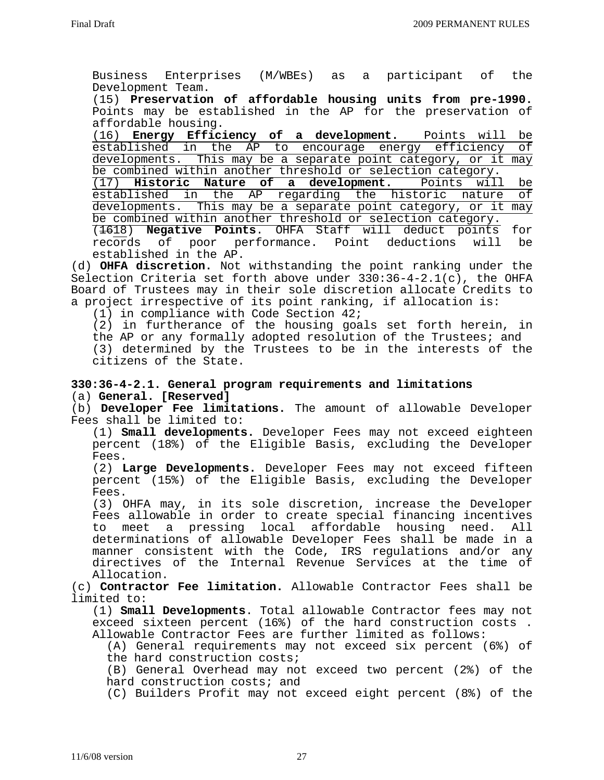Business Enterprises (M/WBEs) as a participant of the Development Team. (15) **Preservation of affordable housing units from pre-1990.** 

Points may be established in the AP for the preservation of affordable housing.

(16) **Energy Efficiency of a development.** Points will be established in the AP to encourage energy efficiency of developments. This may be a separate point category, or it may be combined within another threshold or selection category.

(17) **Historic Nature of a development.** Points will be established in the AP regarding the historic nature of developments. This may be a separate point category, or it may<br>be combined within another threshold or selection category.

be combined within another threshold or selection category.(1618) **Negative Points**. OHFA Staff will deduct points for records of poor performance. Point deductions will be established in the AP.

(d) **OHFA discretion.** Not withstanding the point ranking under the Selection Criteria set forth above under 330:36-4-2.1(c), the OHFA Board of Trustees may in their sole discretion allocate Credits to a project irrespective of its point ranking, if allocation is:

(1) in compliance with Code Section 42;

(2) in furtherance of the housing goals set forth herein, in the AP or any formally adopted resolution of the Trustees; and (3) determined by the Trustees to be in the interests of the citizens of the State.

## **330:36-4-2.1. General program requirements and limitations** (a) **General. [Reserved]**

(b) **Developer Fee limitations.** The amount of allowable Developer Fees shall be limited to:

(1) **Small developments.** Developer Fees may not exceed eighteen percent (18%) of the Eligible Basis, excluding the Developer Fees.

(2) **Large Developments.** Developer Fees may not exceed fifteen percent (15%) of the Eligible Basis, excluding the Developer Fees.

(3) OHFA may, in its sole discretion, increase the Developer Fees allowable in order to create special financing incentives to meet a pressing local affordable housing need. All determinations of allowable Developer Fees shall be made in a manner consistent with the Code, IRS regulations and/or any directives of the Internal Revenue Services at the time of Allocation.

(c) **Contractor Fee limitation.** Allowable Contractor Fees shall be limited to:

(1) **Small Developments**. Total allowable Contractor fees may not exceed sixteen percent (16%) of the hard construction costs . Allowable Contractor Fees are further limited as follows:

(A) General requirements may not exceed six percent (6%) of the hard construction costs;

(B) General Overhead may not exceed two percent (2%) of the hard construction costs; and

(C) Builders Profit may not exceed eight percent (8%) of the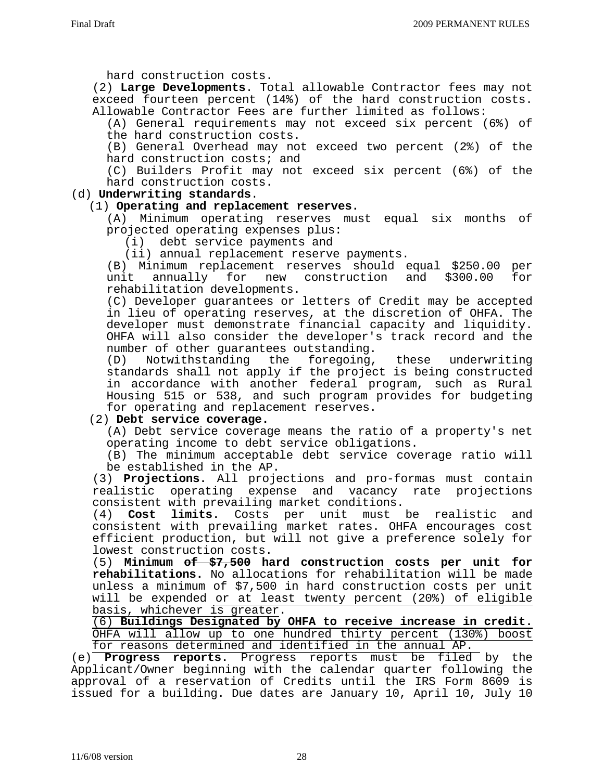hard construction costs.

(2) **Large Developments**. Total allowable Contractor fees may not exceed fourteen percent (14%) of the hard construction costs. Allowable Contractor Fees are further limited as follows:

(A) General requirements may not exceed six percent (6%) of the hard construction costs.

(B) General Overhead may not exceed two percent (2%) of the hard construction costs; and

(C) Builders Profit may not exceed six percent (6%) of the hard construction costs.

## (d) **Underwriting standards**.

## (1) **Operating and replacement reserves.**

(A) Minimum operating reserves must equal six months of projected operating expenses plus:

(i) debt service payments and

(ii) annual replacement reserve payments.

(B) Minimum replacement reserves should equal \$250.00 per unit annually for new construction and \$300.00 for rehabilitation developments.

(C) Developer guarantees or letters of Credit may be accepted in lieu of operating reserves, at the discretion of OHFA. The developer must demonstrate financial capacity and liquidity. OHFA will also consider the developer's track record and the number of other guarantees outstanding.

(D) Notwithstanding the foregoing, these underwriting standards shall not apply if the project is being constructed in accordance with another federal program, such as Rural Housing 515 or 538, and such program provides for budgeting for operating and replacement reserves.

## (2) **Debt service coverage.**

(A) Debt service coverage means the ratio of a property's net operating income to debt service obligations.

(B) The minimum acceptable debt service coverage ratio will be established in the AP.

(3) **Projections.** All projections and pro-formas must contain realistic operating expense and vacancy rate projections consistent with prevailing market conditions.

(4) **Cost limits.** Costs per unit must be realistic and consistent with prevailing market rates. OHFA encourages cost efficient production, but will not give a preference solely for lowest construction costs.

(5) **Minimum of \$7,500 hard construction costs per unit for rehabilitations.** No allocations for rehabilitation will be made unless a minimum of \$7,500 in hard construction costs per unit will be expended or at least twenty percent (20%) of eligible basis, whichever is greater.

(6) **Buildings Designated by OHFA to receive increase in credit.**  OHFA will allow up to one hundred thirty percent (130%) boost for reasons determined and identified in the annual AP.

(e) **Progress reports.** Progress reports must be filed by the Applicant/Owner beginning with the calendar quarter following the approval of a reservation of Credits until the IRS Form 8609 is issued for a building. Due dates are January 10, April 10, July 10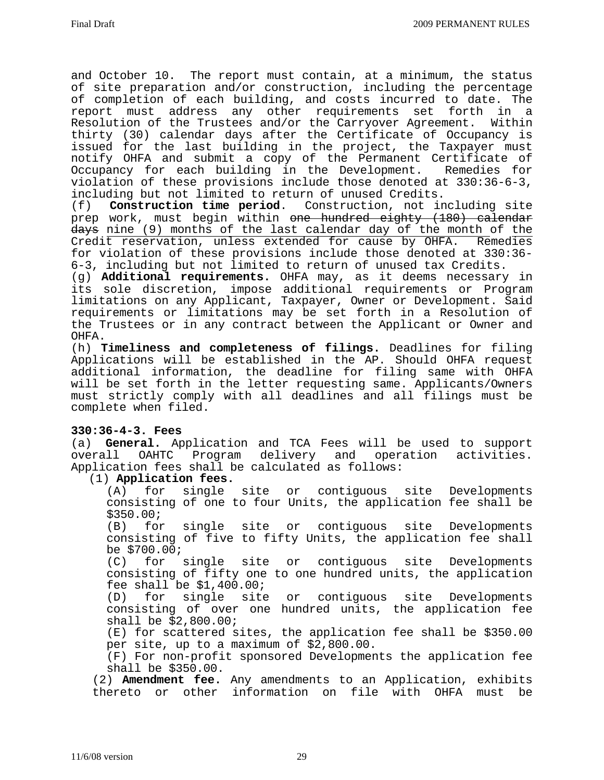and October 10. The report must contain, at a minimum, the status of site preparation and/or construction, including the percentage of completion of each building, and costs incurred to date. The report must address any other requirements set forth in a Resolution of the Trustees and/or the Carryover Agreement. Within thirty (30) calendar days after the Certificate of Occupancy is issued for the last building in the project, the Taxpayer must notify OHFA and submit a copy of the Permanent Certificate of Occupancy for each building in the Development. Remedies for violation of these provisions include those denoted at 330:36-6-3, including but not limited to return of unused Credits.

(f) **Construction time period**. Construction, not including site prep work, must begin within one hundred eighty (180) calendar days nine (9) months of the last calendar day of the month of the Credit reservation, unless extended for cause by OHFA. Remedies for violation of these provisions include those denoted at 330:36- 6-3, including but not limited to return of unused tax Credits.

(g) **Additional requirements.** OHFA may, as it deems necessary in its sole discretion, impose additional requirements or Program limitations on any Applicant, Taxpayer, Owner or Development. Said requirements or limitations may be set forth in a Resolution of the Trustees or in any contract between the Applicant or Owner and OHFA.

(h) **Timeliness and completeness of filings.** Deadlines for filing Applications will be established in the AP. Should OHFA request additional information, the deadline for filing same with OHFA will be set forth in the letter requesting same. Applicants/Owners must strictly comply with all deadlines and all filings must be complete when filed.

## **330:36-4-3. Fees**

(a) **General.** Application and TCA Fees will be used to support overall OAHTC Program delivery and operation activities. Application fees shall be calculated as follows:

(1) **Application fees.**

(A) for single site or contiguous site Developments consisting of one to four Units, the application fee shall be \$350.00;

(B) for single site or contiguous site Developments consisting of five to fifty Units, the application fee shall be \$700.00;

(C) for single site or contiguous site Developments consisting of fifty one to one hundred units, the application fee shall be \$1,400.00;

(D) for single site or contiguous site Developments consisting of over one hundred units, the application fee shall be \$2,800.00;

(E) for scattered sites, the application fee shall be \$350.00 per site, up to a maximum of \$2,800.00.

(F) For non-profit sponsored Developments the application fee shall be \$350.00.

(2) **Amendment fee.** Any amendments to an Application, exhibits thereto or other information on file with OHFA must be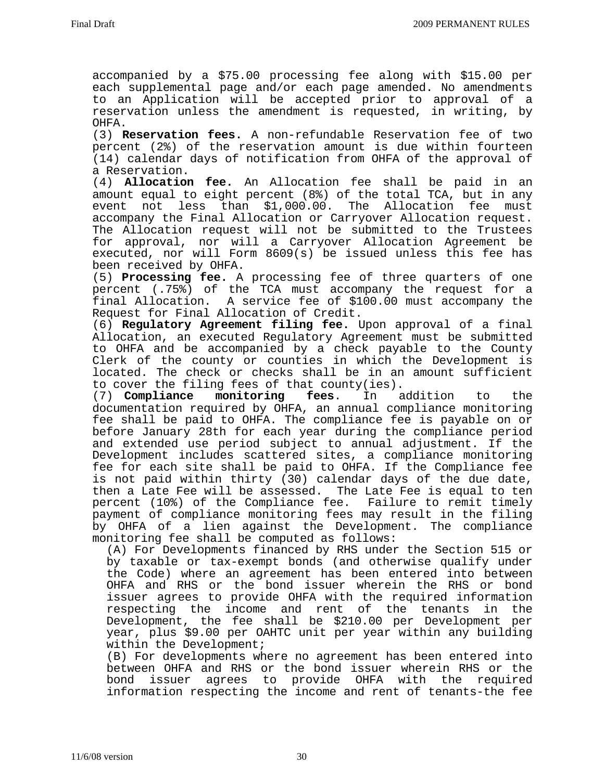accompanied by a \$75.00 processing fee along with \$15.00 per each supplemental page and/or each page amended. No amendments to an Application will be accepted prior to approval of a reservation unless the amendment is requested, in writing, by

OHFA. (3) **Reservation fees.** A non-refundable Reservation fee of two percent (2%) of the reservation amount is due within fourteen (14) calendar days of notification from OHFA of the approval of a Reservation.

(4) **Allocation fee.** An Allocation fee shall be paid in an amount equal to eight percent (8%) of the total TCA, but in any event not less than \$1,000.00. The Allocation fee must accompany the Final Allocation or Carryover Allocation request. The Allocation request will not be submitted to the Trustees for approval, nor will a Carryover Allocation Agreement be executed, nor will Form 8609(s) be issued unless this fee has been received by OHFA.

(5) **Processing fee.** A processing fee of three quarters of one percent (.75%) of the TCA must accompany the request for a final Allocation. A service fee of \$100.00 must accompany the Request for Final Allocation of Credit.

(6) **Regulatory Agreement filing fee.** Upon approval of a final Allocation, an executed Regulatory Agreement must be submitted to OHFA and be accompanied by a check payable to the County Clerk of the county or counties in which the Development is located. The check or checks shall be in an amount sufficient to cover the filing fees of that county(ies).<br>(7) **Compliance monitoring fees**. In addition

(7) **Compliance monitoring fees**. In addition to the documentation required by OHFA, an annual compliance monitoring fee shall be paid to OHFA. The compliance fee is payable on or before January 28th for each year during the compliance period and extended use period subject to annual adjustment. If the Development includes scattered sites, a compliance monitoring fee for each site shall be paid to OHFA. If the Compliance fee is not paid within thirty (30) calendar days of the due date, then a Late Fee will be assessed. The Late Fee is equal to ten percent (10%) of the Compliance fee. Failure to remit timely payment of compliance monitoring fees may result in the filing by OHFA of a lien against the Development. The compliance monitoring fee shall be computed as follows:

(A) For Developments financed by RHS under the Section 515 or by taxable or tax-exempt bonds (and otherwise qualify under the Code) where an agreement has been entered into between OHFA and RHS or the bond issuer wherein the RHS or bond issuer agrees to provide OHFA with the required information respecting the income and rent of the tenants in the Development, the fee shall be \$210.00 per Development per year, plus \$9.00 per OAHTC unit per year within any building within the Development;

(B) For developments where no agreement has been entered into between OHFA and RHS or the bond issuer wherein RHS or the bond issuer agrees to provide OHFA with the required information respecting the income and rent of tenants-the fee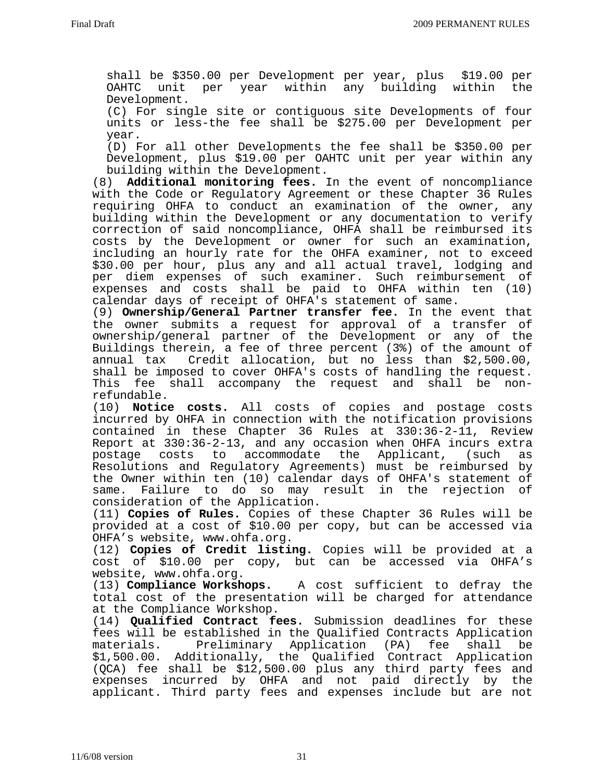shall be \$350.00 per Development per year, plus \$19.00 per OAHTC unit per year within any building within the Development.

(C) For single site or contiguous site Developments of four units or less-the fee shall be \$275.00 per Development per year.

(D) For all other Developments the fee shall be \$350.00 per Development, plus \$19.00 per OAHTC unit per year within any building within the Development.

(8) **Additional monitoring fees.** In the event of noncompliance with the Code or Regulatory Agreement or these Chapter 36 Rules requiring OHFA to conduct an examination of the owner, any building within the Development or any documentation to verify correction of said noncompliance, OHFA shall be reimbursed its costs by the Development or owner for such an examination, including an hourly rate for the OHFA examiner, not to exceed \$30.00 per hour, plus any and all actual travel, lodging and per diem expenses of such examiner. Such reimbursement of expenses and costs shall be paid to OHFA within ten (10) calendar days of receipt of OHFA's statement of same.

(9) **Ownership/General Partner transfer fee.** In the event that the owner submits a request for approval of a transfer of ownership/general partner of the Development or any of the Buildings therein, a fee of three percent (3%) of the amount of annual tax Credit allocation, but no less than \$2,500.00, shall be imposed to cover OHFA's costs of handling the request. This fee shall accompany the request and shall be non-<br>refundable.

(10) **Notice costs.** All costs of copies and postage costs incurred by OHFA in connection with the notification provisions contained in these Chapter 36 Rules at 330:36-2-11, Review Report at 330:36-2-13, and any occasion when OHFA incurs extra postage costs to accommodate the Applicant, (such as Resolutions and Regulatory Agreements) must be reimbursed by the Owner within ten (10) calendar days of OHFA's statement of same. Failure to do so may result in the rejection of consideration of the Application.

(11) **Copies of Rules.** Copies of these Chapter 36 Rules will be provided at a cost of \$10.00 per copy, but can be accessed via OHFA's website, www.ohfa.org.

(12) **Copies of Credit listing.** Copies will be provided at a cost of \$10.00 per copy, but can be accessed via OHFA's website, www.ohfa.org.

(13) **Compliance Workshops.** A cost sufficient to defray the total cost of the presentation will be charged for attendance<br>at the Compliance Workshop.

(14) **Qualified Contract fees.** Submission deadlines for these fees will be established in the Qualified Contracts Application materials. Preliminary Application (PA) fee shall be \$1,500.00. Additionally, the Qualified Contract Application (QCA) fee shall be \$12,500.00 plus any third party fees and expenses incurred by OHFA and not paid directly by the applicant. Third party fees and expenses include but are not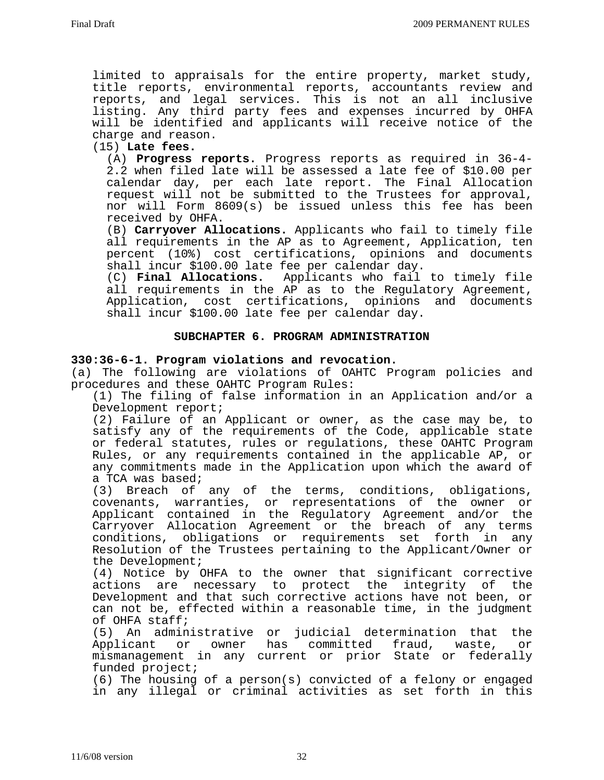limited to appraisals for the entire property, market study, title reports, environmental reports, accountants review and reports, and legal services. This is not an all inclusive listing. Any third party fees and expenses incurred by OHFA will be identified and applicants will receive notice of the charge and reason.

# (15) **Late fees.**

 (A) **Progress reports.** Progress reports as required in 36-4- 2.2 when filed late will be assessed a late fee of \$10.00 per calendar day, per each late report. The Final Allocation request will not be submitted to the Trustees for approval, nor will Form 8609(s) be issued unless this fee has been

(B) **Carryover Allocations.** Applicants who fail to timely file all requirements in the AP as to Agreement, Application, ten percent (10%) cost certifications, opinions and documents shall incur \$100.00 late fee per calendar day.

 (C) **Final Allocations.** Applicants who fail to timely file all requirements in the AP as to the Regulatory Agreement, Application, cost certifications, opinions and documents shall incur \$100.00 late fee per calendar day.

## **SUBCHAPTER 6. PROGRAM ADMINISTRATION**

## **330:36-6-1. Program violations and revocation.**

(a) The following are violations of OAHTC Program policies and procedures and these OAHTC Program Rules:

(1) The filing of false information in an Application and/or a Development report;

(2) Failure of an Applicant or owner, as the case may be, to satisfy any of the requirements of the Code, applicable state or federal statutes, rules or regulations, these OAHTC Program Rules, or any requirements contained in the applicable AP, or any commitments made in the Application upon which the award of a TCA was based;

(3) Breach of any of the terms, conditions, obligations, covenants, warranties, or representations of the owner or Applicant contained in the Regulatory Agreement and/or the Carryover Allocation Agreement or the breach of any terms conditions, obligations or requirements set forth in any Resolution of the Trustees pertaining to the Applicant/Owner or the Development;

(4) Notice by OHFA to the owner that significant corrective actions are necessary to protect the integrity of the Development and that such corrective actions have not been, or can not be, effected within a reasonable time, in the judgment of OHFA staff;

(5) An administrative or judicial determination that the Applicant or owner has committed fraud, waste, or mismanagement in any current or prior State or federally funded project;

(6) The housing of a person(s) convicted of a felony or engaged in any illegal or criminal activities as set forth in this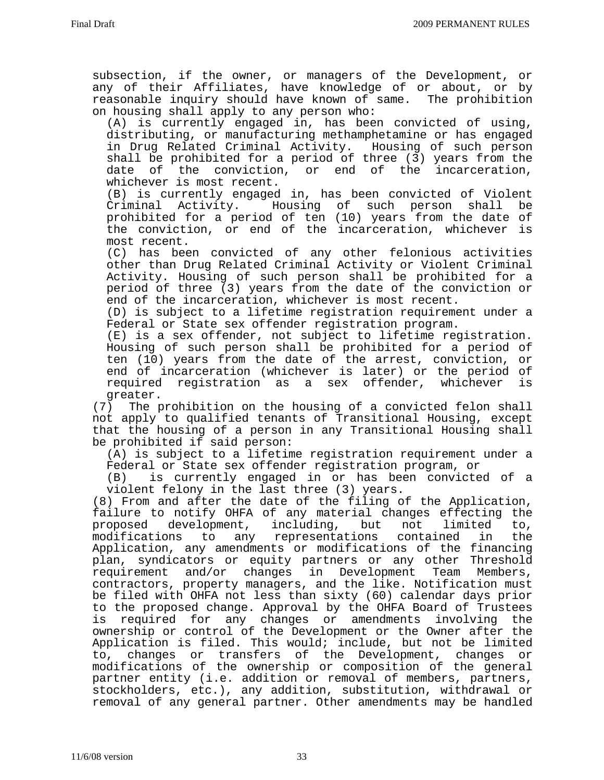subsection, if the owner, or managers of the Development, or any of their Affiliates, have knowledge of or about, or by reasonable inquiry should have known of same. The prohibition on housing shall apply to any person who:

(A) is currently engaged in, has been convicted of using, distributing, or manufacturing methamphetamine or has engaged in Drug Related Criminal Activity. Housing of such person shall be prohibited for a period of three (3) years from the date of the conviction, or end of the incarceration, whichever is most recent.

(B) is currently engaged in, has been convicted of Violent Criminal Activity. Housing of such person shall be prohibited for a period of ten (10) years from the date of the conviction, or end of the incarceration, whichever is most recent.

(C) has been convicted of any other felonious activities other than Drug Related Criminal Activity or Violent Criminal Activity. Housing of such person shall be prohibited for a period of three (3) years from the date of the conviction or end of the incarceration, whichever is most recent.

(D) is subject to a lifetime registration requirement under a Federal or State sex offender registration program.

(E) is a sex offender, not subject to lifetime registration. Housing of such person shall be prohibited for a period of ten (10) years from the date of the arrest, conviction, or end of incarceration (whichever is later) or the period of required registration as a sex offender, whichever is greater.

(7) The prohibition on the housing of a convicted felon shall not apply to qualified tenants of Transitional Housing, except that the housing of a person in any Transitional Housing shall be prohibited if said person:

(A) is subject to a lifetime registration requirement under a Federal or State sex offender registration program, or

(B) is currently engaged in or has been convicted of a violent felony in the last three (3) years.

(8) From and after the date of the filing of the Application, failure to notify OHFA of any material changes effecting the proposed development, including, but not limited to, modifications to any representations contained in the Application, any amendments or modifications of the financing plan, syndicators or equity partners or any other Threshold requirement and/or changes in Development Team Members, contractors, property managers, and the like. Notification must be filed with OHFA not less than sixty (60) calendar days prior to the proposed change. Approval by the OHFA Board of Trustees is required for any changes or amendments involving the ownership or control of the Development or the Owner after the Application is filed. This would; include, but not be limited to, changes or transfers of the Development, changes or modifications of the ownership or composition of the general partner entity (i.e. addition or removal of members, partners, stockholders, etc.), any addition, substitution, withdrawal or removal of any general partner. Other amendments may be handled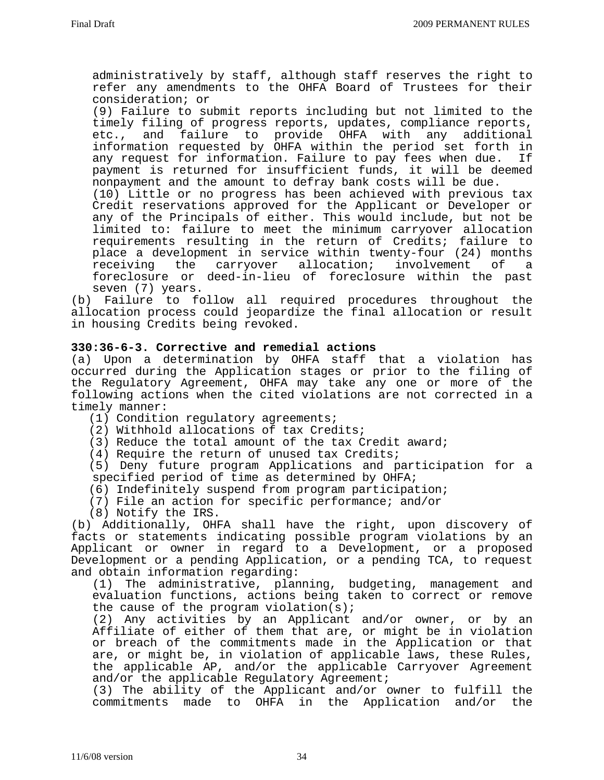administratively by staff, although staff reserves the right to refer any amendments to the OHFA Board of Trustees for their consideration; or

(9) Failure to submit reports including but not limited to the timely filing of progress reports, updates, compliance reports, etc., and failure to provide OHFA with any additional information requested by OHFA within the period set forth in any request for information. Failure to pay fees when due. If payment is returned for insufficient funds, it will be deemed nonpayment and the amount to defray bank costs will be due.

(10) Little or no progress has been achieved with previous tax Credit reservations approved for the Applicant or Developer or any of the Principals of either. This would include, but not be limited to: failure to meet the minimum carryover allocation requirements resulting in the return of Credits; failure to place a development in service within twenty-four (24) months receiving the carryover allocation; involvement of a foreclosure or deed-in-lieu of foreclosure within the past seven (7) years.

(b) Failure to follow all required procedures throughout the allocation process could jeopardize the final allocation or result in housing Credits being revoked.

# **330:36-6-3. Corrective and remedial actions**

(a) Upon a determination by OHFA staff that a violation has occurred during the Application stages or prior to the filing of the Regulatory Agreement, OHFA may take any one or more of the following actions when the cited violations are not corrected in a timely manner:

- (1) Condition regulatory agreements;
- (2) Withhold allocations of tax Credits;
- (3) Reduce the total amount of the tax Credit award;
- (4) Require the return of unused tax Credits;

(5) Deny future program Applications and participation for a specified period of time as determined by OHFA;

- (6) Indefinitely suspend from program participation;
- (7) File an action for specific performance; and/or
- (8) Notify the IRS.

(b) Additionally, OHFA shall have the right, upon discovery of facts or statements indicating possible program violations by an Applicant or owner in regard to a Development, or a proposed Development or a pending Application, or a pending TCA, to request and obtain information regarding:

(1) The administrative, planning, budgeting, management and evaluation functions, actions being taken to correct or remove the cause of the program violation(s);

(2) Any activities by an Applicant and/or owner, or by an Affiliate of either of them that are, or might be in violation or breach of the commitments made in the Application or that are, or might be, in violation of applicable laws, these Rules, the applicable AP, and/or the applicable Carryover Agreement and/or the applicable Regulatory Agreement;

(3) The ability of the Applicant and/or owner to fulfill the commitments made to OHFA in the Application and/or the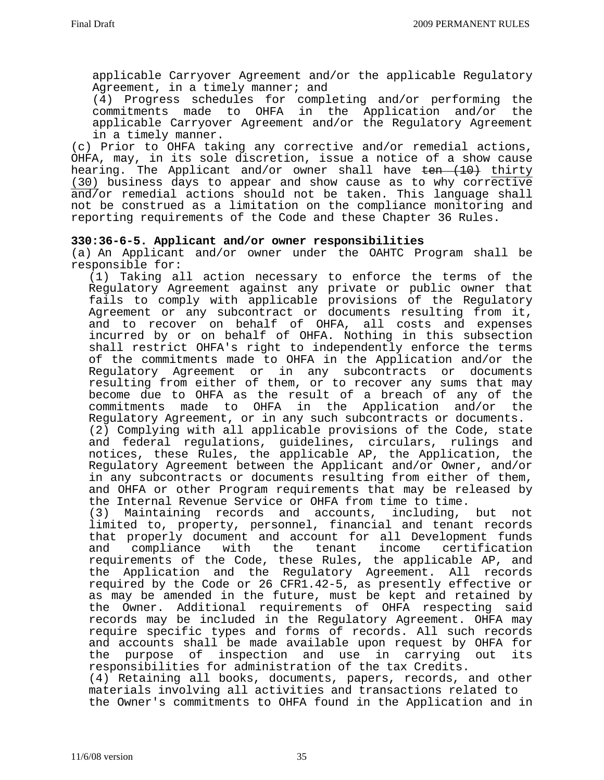applicable Carryover Agreement and/or the applicable Regulatory Agreement, in a timely manner; and

(4) Progress schedules for completing and/or performing the commitments made to OHFA in the Application and/or the applicable Carryover Agreement and/or the Regulatory Agreement in a timely manner.

(c) Prior to OHFA taking any corrective and/or remedial actions, OHFA, may, in its sole discretion, issue a notice of a show cause hearing. The Applicant and/or owner shall have ten (10) thirty (30) business days to appear and show cause as to why corrective and/or remedial actions should not be taken. This language shall not be construed as a limitation on the compliance monitoring and reporting requirements of the Code and these Chapter 36 Rules.

# **330:36-6-5. Applicant and/or owner responsibilities**

(a) An Applicant and/or owner under the OAHTC Program shall be responsible for:

(1) Taking all action necessary to enforce the terms of the Regulatory Agreement against any private or public owner that fails to comply with applicable provisions of the Regulatory Agreement or any subcontract or documents resulting from it, and to recover on behalf of OHFA, all costs and expenses incurred by or on behalf of OHFA. Nothing in this subsection shall restrict OHFA's right to independently enforce the terms of the commitments made to OHFA in the Application and/or the Regulatory Agreement or in any subcontracts or documents resulting from either of them, or to recover any sums that may become due to OHFA as the result of a breach of any of the commitments made to OHFA in the Application and/or the Regulatory Agreement, or in any such subcontracts or documents. (2) Complying with all applicable provisions of the Code, state and federal regulations, guidelines, circulars, rulings and notices, these Rules, the applicable AP, the Application, the Regulatory Agreement between the Applicant and/or Owner, and/or in any subcontracts or documents resulting from either of them, and OHFA or other Program requirements that may be released by the Internal Revenue Service or OHFA from time to time.

(3) Maintaining records and accounts, including, but not limited to, property, personnel, financial and tenant records that properly document and account for all Development funds and compliance with the tenant income certification requirements of the Code, these Rules, the applicable AP, and the Application and the Regulatory Agreement. All records required by the Code or 26 CFR1.42-5, as presently effective or as may be amended in the future, must be kept and retained by the Owner. Additional requirements of OHFA respecting said records may be included in the Regulatory Agreement. OHFA may require specific types and forms of records. All such records and accounts shall be made available upon request by OHFA for the purpose of inspection and use in carrying out its responsibilities for administration of the tax Credits. (4) Retaining all books, documents, papers, records, and other

materials involving all activities and transactions related to the Owner's commitments to OHFA found in the Application and in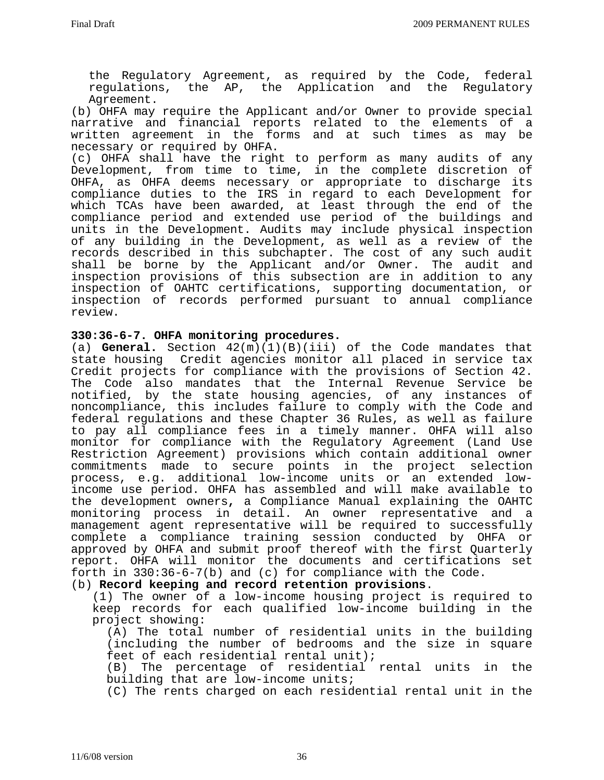the Regulatory Agreement, as required by the Code, federal regulations, the AP, the Application and the Regulatory Agreement.

(b) OHFA may require the Applicant and/or Owner to provide special narrative and financial reports related to the elements of a written agreement in the forms and at such times as may be necessary or required by OHFA.

(c) OHFA shall have the right to perform as many audits of any Development, from time to time, in the complete discretion of OHFA, as OHFA deems necessary or appropriate to discharge its compliance duties to the IRS in regard to each Development for which TCAs have been awarded, at least through the end of the compliance period and extended use period of the buildings and units in the Development. Audits may include physical inspection of any building in the Development, as well as a review of the records described in this subchapter. The cost of any such audit shall be borne by the Applicant and/or Owner. The audit and inspection provisions of this subsection are in addition to any inspection of OAHTC certifications, supporting documentation, or inspection of records performed pursuant to annual compliance review.

## **330:36-6-7. OHFA monitoring procedures.**

(a) **General.** Section 42(m)(1)(B)(iii) of the Code mandates that state housing Credit agencies monitor all placed in service tax Credit projects for compliance with the provisions of Section 42. The Code also mandates that the Internal Revenue Service be notified, by the state housing agencies, of any instances of noncompliance, this includes failure to comply with the Code and federal regulations and these Chapter 36 Rules, as well as failure to pay all compliance fees in a timely manner. OHFA will also monitor for compliance with the Regulatory Agreement (Land Use Restriction Agreement) provisions which contain additional owner commitments made to secure points in the project selection process, e.g. additional low-income units or an extended lowincome use period. OHFA has assembled and will make available to the development owners**,** a Compliance Manual explaining the OAHTC monitoring process in detail. An owner representative and a management agent representative will be required to successfully complete a compliance training session conducted by OHFA or approved by OHFA and submit proof thereof with the first Quarterly report. OHFA will monitor the documents and certifications set forth in 330:36-6-7(b) and (c) for compliance with the Code.

# (b) **Record keeping and record retention provisions**.

(1) The owner of a low-income housing project is required to keep records for each qualified low-income building in the project showing:

(A) The total number of residential units in the building (including the number of bedrooms and the size in square feet of each residential rental unit);

(B) The percentage of residential rental units in the building that are low-income units;

(C) The rents charged on each residential rental unit in the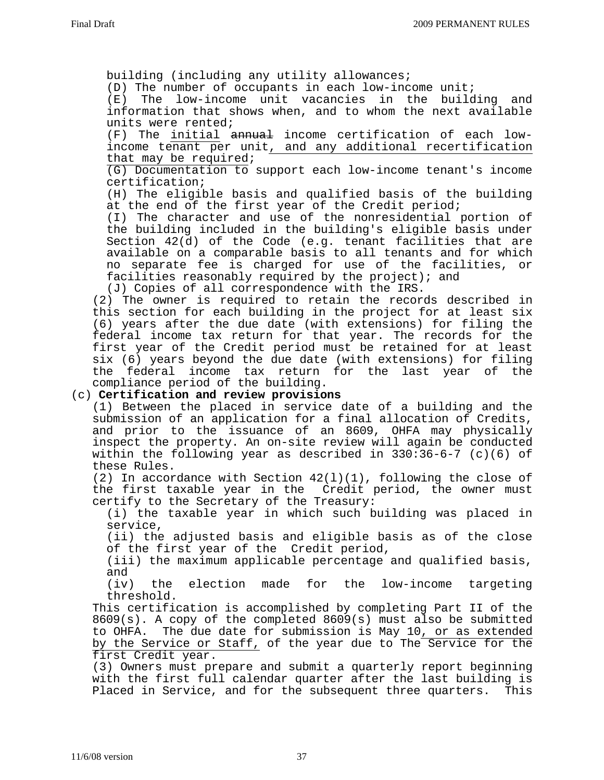building (including any utility allowances; (D) The number of occupants in each low-income unit; (E) The low-income unit vacancies in the building and information that shows when, and to whom the next available units were rented; (F) The initial annual income certification of each lowincome tenant per unit, and any additional recertification that may be required; (G) Documentation to support each low-income tenant's income certification; (H) The eligible basis and qualified basis of the building at the end of the first year of the Credit period; (I) The character and use of the nonresidential portion of the building included in the building's eligible basis under Section 42(d) of the Code (e.g. tenant facilities that are available on a comparable basis to all tenants and for which no separate fee is charged for use of the facilities, or facilities reasonably required by the project); and (J) Copies of all correspondence with the IRS. (2) The owner is required to retain the records described in this section for each building in the project for at least six (6) years after the due date (with extensions) for filing the federal income tax return for that year. The records for the

first year of the Credit period must be retained for at least six (6) years beyond the due date (with extensions) for filing the federal income tax return for the last year of the compliance period of the building.

## (c) **Certification and review provisions**

(1) Between the placed in service date of a building and the submission of an application for a final allocation of Credits, and prior to the issuance of an 8609, OHFA may physically inspect the property. An on-site review will again be conducted within the following year as described in 330:36-6-7 (c)(6) of these Rules.

(2) In accordance with Section 42(l)(1), following the close of the first taxable year in the Credit period, the owner must certify to the Secretary of the Treasury:

(i) the taxable year in which such building was placed in service,

(ii) the adjusted basis and eligible basis as of the close of the first year of the Credit period,

(iii) the maximum applicable percentage and qualified basis,

and<br>(iv) the election made for the low-income targeting threshold.

This certification is accomplished by completing Part II of the 8609(s). A copy of the completed 8609(s) must also be submitted to OHFA. The due date for submission is May 10, or as extended by the Service or Staff, of the year due to The Service for the first Credit year.

(3) Owners must prepare and submit a quarterly report beginning with the first full calendar quarter after the last building is Placed in Service, and for the subsequent three quarters. This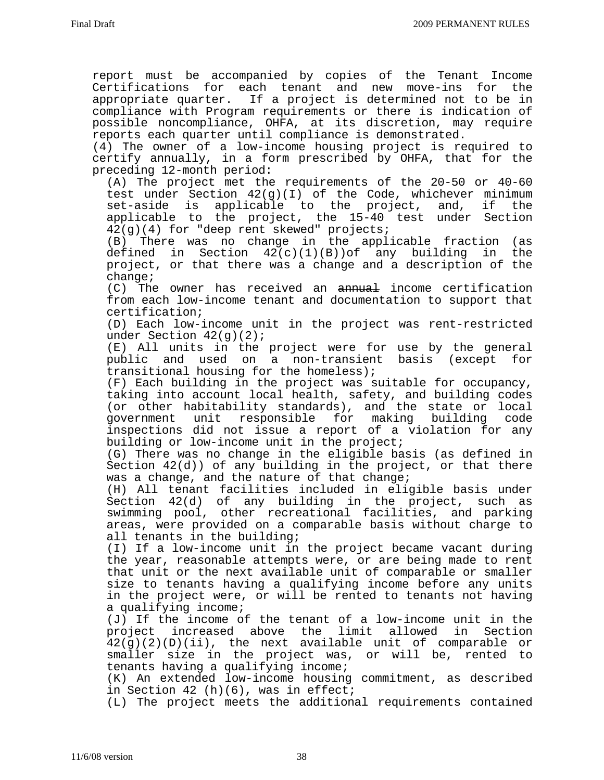report must be accompanied by copies of the Tenant Income Certifications for each tenant and new move-ins for the appropriate quarter. If a project is determined not to be in compliance with Program requirements or there is indication of possible noncompliance, OHFA, at its discretion, may require reports each quarter until compliance is demonstrated. (4) The owner of a low-income housing project is required to certify annually, in a form prescribed by OHFA, that for the preceding 12-month period: (A) The project met the requirements of the 20-50 or 40-60 test under Section 42(g)(I) of the Code, whichever minimum set-aside is applicable to the project, and, if the applicable to the project, the 15-40 test under Section 42(g)(4) for "deep rent skewed" projects; (B) There was no change in the applicable fraction (as defined in Section  $42(c)(1)(B))$  of any building in the project, or that there was a change and a description of the change; (C) The owner has received an annual income certification from each low-income tenant and documentation to support that certification; (D) Each low-income unit in the project was rent-restricted under Section  $42(g)(2)$ ; (E) All units in the project were for use by the general public and used on a non-transient basis (except for transitional housing for the homeless); (F) Each building in the project was suitable for occupancy, taking into account local health, safety, and building codes (or other habitability standards), and the state or local government unit responsible for making building code inspections did not issue a report of a violation for any building or low-income unit in the project; (G) There was no change in the eligible basis (as defined in Section 42(d)) of any building in the project, or that there was a change, and the nature of that change; (H) All tenant facilities included in eligible basis under Section 42(d) of any building in the project, such as swimming pool, other recreational facilities, and parking areas, were provided on a comparable basis without charge to all tenants in the building; (I) If a low-income unit in the project became vacant during the year, reasonable attempts were, or are being made to rent that unit or the next available unit of comparable or smaller size to tenants having a qualifying income before any units in the project were, or will be rented to tenants not having a qualifying income; (J) If the income of the tenant of a low-income unit in the project increased above the limit allowed in Section 42(g)(2)(D)(ii), the next available unit of comparable or smaller size in the project was, or will be, rented to tenants having a qualifying income; (K) An extended low-income housing commitment, as described in Section 42 (h)(6), was in effect; (L) The project meets the additional requirements contained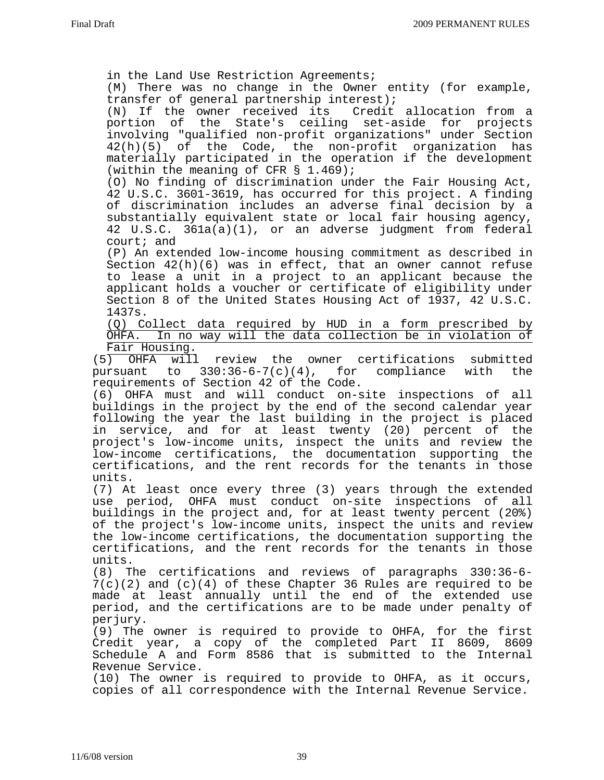in the Land Use Restriction Agreements; (M) There was no change in the Owner entity (for example, transfer of general partnership interest); (N) If the owner received its Credit allocation from a portion of the State's ceiling set-aside for projects involving "qualified non-profit organizations" under Section 42(h)(5) of the Code, the non-profit organization has materially participated in the operation if the development (within the meaning of CFR  $\S$  1.469); (O) No finding of discrimination under the Fair Housing Act, 42 U.S.C. 3601-3619, has occurred for this project. A finding of discrimination includes an adverse final decision by a substantially equivalent state or local fair housing agency, 42 U.S.C. 361a(a)(1), or an adverse judgment from federal court; and (P) An extended low-income housing commitment as described in Section 42(h)(6) was in effect, that an owner cannot refuse to lease a unit in a project to an applicant because the applicant holds a voucher or certificate of eligibility under Section 8 of the United States Housing Act of 1937, 42 U.S.C. 1437s. (Q) Collect data required by HUD in a form prescribed by OHFA. In no way will the data collection be in violation of Fair Housing. (5) OHFA will review the owner certifications submitted pursuant to 330:36-6-7(c)(4), for compliance with the requirements of Section 42 of the Code. (6) OHFA must and will conduct on-site inspections of all buildings in the project by the end of the second calendar year following the year the last building in the project is placed in service, and for at least twenty (20) percent of the project's low-income units, inspect the units and review the low-income certifications, the documentation supporting the certifications, and the rent records for the tenants in those units. (7) At least once every three (3) years through the extended use period, OHFA must conduct on-site inspections of all buildings in the project and, for at least twenty percent (20%) of the project's low-income units, inspect the units and review the low-income certifications, the documentation supporting the certifications, and the rent records for the tenants in those units. (8) The certifications and reviews of paragraphs 330:36-6-  $7(c)(2)$  and  $(c)(4)$  of these Chapter 36 Rules are required to be made at least annually until the end of the extended use period, and the certifications are to be made under penalty of perjury. (9) The owner is required to provide to OHFA, for the first Credit year, a copy of the completed Part II 8609, 8609 Schedule A and Form 8586 that is submitted to the Internal Revenue Service. (10) The owner is required to provide to OHFA, as it occurs, copies of all correspondence with the Internal Revenue Service.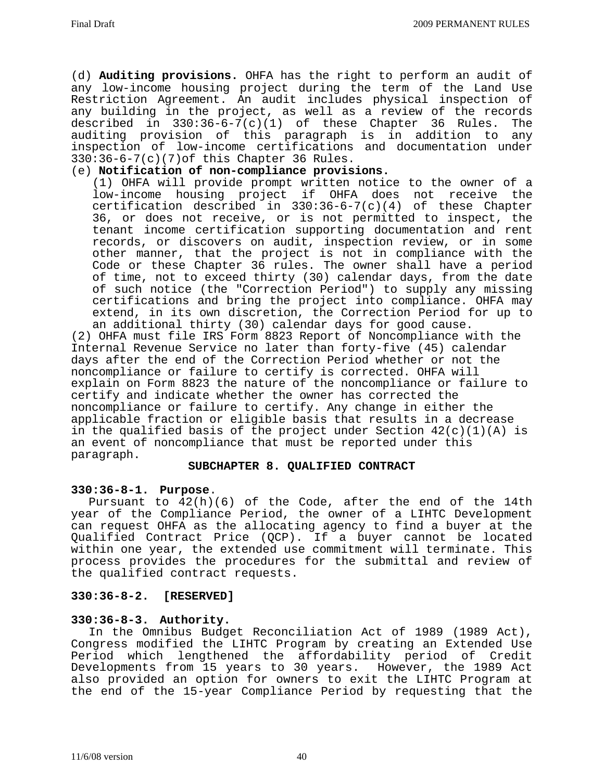(d) **Auditing provisions.** OHFA has the right to perform an audit of any low-income housing project during the term of the Land Use Restriction Agreement. An audit includes physical inspection of any building in the project, as well as a review of the records described in 330:36-6-7(c)(1) of these Chapter 36 Rules. The auditing provision of this paragraph is in addition to any inspection of low-income certifications and documentation under 330:36-6-7(c)(7)of this Chapter 36 Rules.

## (e) **Notification of non-compliance provisions.**

(1) OHFA will provide prompt written notice to the owner of a low-income housing project if OHFA does not receive the certification described in  $330:36-6-7(c)(4)$  of these Chapter 36, or does not receive, or is not permitted to inspect, the tenant income certification supporting documentation and rent records, or discovers on audit, inspection review, or in some other manner, that the project is not in compliance with the Code or these Chapter 36 rules. The owner shall have a period of time, not to exceed thirty (30) calendar days, from the date of such notice (the "Correction Period") to supply any missing certifications and bring the project into compliance. OHFA may extend, in its own discretion, the Correction Period for up to an additional thirty (30) calendar days for good cause.

(2) OHFA must file IRS Form 8823 Report of Noncompliance with the Internal Revenue Service no later than forty-five (45) calendar days after the end of the Correction Period whether or not the noncompliance or failure to certify is corrected. OHFA will explain on Form 8823 the nature of the noncompliance or failure to certify and indicate whether the owner has corrected the noncompliance or failure to certify. Any change in either the applicable fraction or eligible basis that results in a decrease in the qualified basis of the project under Section  $42(c)(1)(A)$  is an event of noncompliance that must be reported under this paragraph. **SUBCHAPTER 8. QUALIFIED CONTRACT** 

## **330:36-8-1. Purpose**.

Pursuant to 42(h)(6) of the Code, after the end of the 14th year of the Compliance Period, the owner of a LIHTC Development can request OHFA as the allocating agency to find a buyer at the Qualified Contract Price (QCP). If a buyer cannot be located within one year, the extended use commitment will terminate. This process provides the procedures for the submittal and review of the qualified contract requests.

# **330:36-8-2. [RESERVED]**

# **330:36-8-3. Authority.**

In the Omnibus Budget Reconciliation Act of 1989 (1989 Act), Congress modified the LIHTC Program by creating an Extended Use Period which lengthened the affordability period of Credit Developments from 15 years to 30 years. However, the 1989 Act also provided an option for owners to exit the LIHTC Program at the end of the 15-year Compliance Period by requesting that the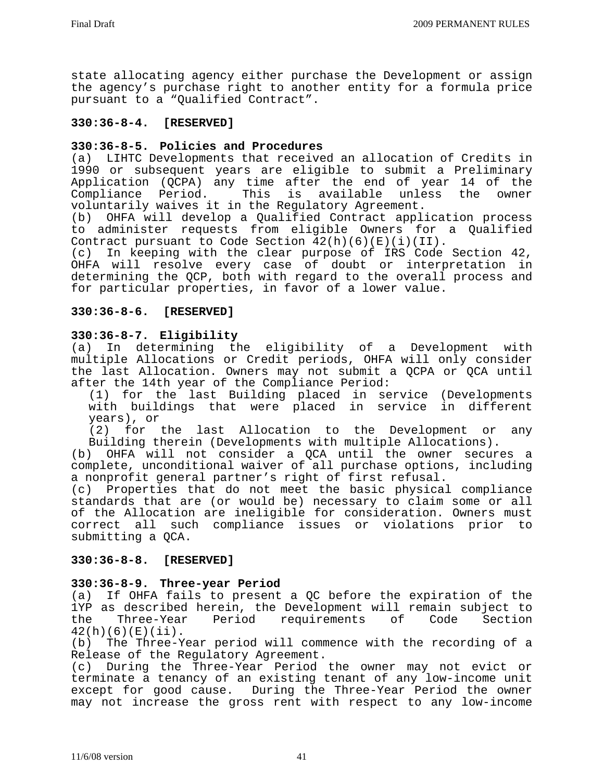state allocating agency either purchase the Development or assign the agency's purchase right to another entity for a formula price pursuant to a "Qualified Contract".

## **330:36-8-4. [RESERVED]**

## **330:36-8-5. Policies and Procedures**

(a) LIHTC Developments that received an allocation of Credits in 1990 or subsequent years are eligible to submit a Preliminary Application (QCPA) any time after the end of year 14 of the Compliance Period. This is available unless the owner voluntarily waives it in the Regulatory Agreement.

(b) OHFA will develop a Qualified Contract application process to administer requests from eligible Owners for a Qualified Contract pursuant to Code Section  $42(h)(6)(E)(i)(II)$ .

(c) In keeping with the clear purpose of IRS Code Section 42, OHFA will resolve every case of doubt or interpretation in determining the QCP, both with regard to the overall process and for particular properties, in favor of a lower value.

## **330:36-8-6. [RESERVED]**

## **330:36-8-7. Eligibility**

(a) In determining the eligibility of a Development with multiple Allocations or Credit periods, OHFA will only consider the last Allocation. Owners may not submit a QCPA or QCA until after the 14th year of the Compliance Period:

(1) for the last Building placed in service (Developments with buildings that were placed in service in different years), or

(2) for the last Allocation to the Development or any Building therein (Developments with multiple Allocations).

(b) OHFA will not consider a QCA until the owner secures a complete, unconditional waiver of all purchase options, including a nonprofit general partner's right of first refusal.

(c) Properties that do not meet the basic physical compliance standards that are (or would be) necessary to claim some or all of the Allocation are ineligible for consideration. Owners must correct all such compliance issues or violations prior to submitting a QCA.

## **330:36-8-8. [RESERVED]**

## **330:36-8-9. Three-year Period**

(a) If OHFA fails to present a QC before the expiration of the 1YP as described herein, the Development will remain subject to the Three-Year Period requirements of Code Section  $42(h)(6)(E)(ii)$ .

(b) The Three-Year period will commence with the recording of a Release of the Regulatory Agreement.

(c) During the Three-Year Period the owner may not evict or terminate a tenancy of an existing tenant of any low-income unit except for good cause. During the Three-Year Period the owner may not increase the gross rent with respect to any low-income